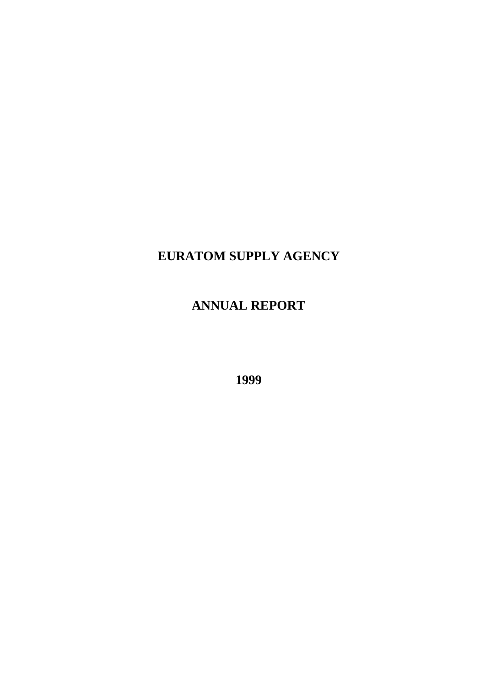# **EURATOM SUPPLY AGENCY**

# **ANNUAL REPORT**

**1999**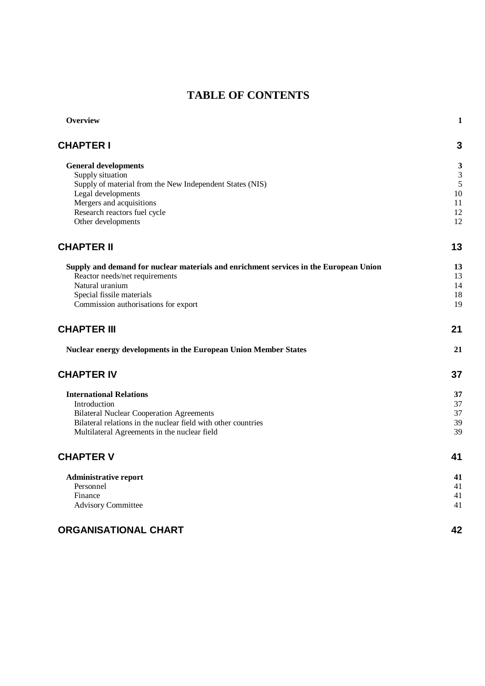# **TABLE OF CONTENTS**

| Overview                                                                              | $\mathbf{1}$ |
|---------------------------------------------------------------------------------------|--------------|
| <b>CHAPTER I</b>                                                                      | 3            |
| <b>General developments</b>                                                           | 3            |
| Supply situation                                                                      | 3            |
| Supply of material from the New Independent States (NIS)                              | 5            |
| Legal developments                                                                    | 10           |
| Mergers and acquisitions                                                              | 11           |
| Research reactors fuel cycle                                                          | 12           |
| Other developments                                                                    | 12           |
| <b>CHAPTER II</b>                                                                     | 13           |
| Supply and demand for nuclear materials and enrichment services in the European Union | 13           |
| Reactor needs/net requirements                                                        | 13           |
| Natural uranium                                                                       | 14           |
| Special fissile materials                                                             | 18           |
| Commission authorisations for export                                                  | 19           |
| <b>CHAPTER III</b>                                                                    | 21           |
| Nuclear energy developments in the European Union Member States                       | 21           |
| <b>CHAPTER IV</b>                                                                     | 37           |
| <b>International Relations</b>                                                        | 37           |
| Introduction                                                                          | 37           |
| <b>Bilateral Nuclear Cooperation Agreements</b>                                       | 37           |
| Bilateral relations in the nuclear field with other countries                         | 39           |
| Multilateral Agreements in the nuclear field                                          | 39           |
| <b>CHAPTER V</b>                                                                      | 41           |
| <b>Administrative report</b>                                                          | 41           |
| Personnel                                                                             | 41           |
| Finance                                                                               | 41           |
| <b>Advisory Committee</b>                                                             | 41           |
| <b>ORGANISATIONAL CHART</b>                                                           | 42           |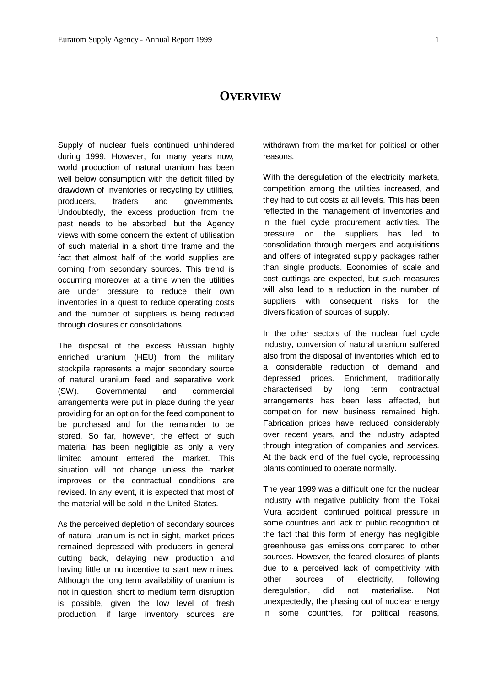# **OVERVIEW**

Supply of nuclear fuels continued unhindered during 1999. However, for many years now, world production of natural uranium has been well below consumption with the deficit filled by drawdown of inventories or recycling by utilities, producers, traders and governments. Undoubtedly, the excess production from the past needs to be absorbed, but the Agency views with some concern the extent of utilisation of such material in a short time frame and the fact that almost half of the world supplies are coming from secondary sources. This trend is occurring moreover at a time when the utilities are under pressure to reduce their own inventories in a quest to reduce operating costs and the number of suppliers is being reduced through closures or consolidations.

The disposal of the excess Russian highly enriched uranium (HEU) from the military stockpile represents a major secondary source of natural uranium feed and separative work (SW). Governmental and commercial arrangements were put in place during the year providing for an option for the feed component to be purchased and for the remainder to be stored. So far, however, the effect of such material has been negligible as only a very limited amount entered the market. This situation will not change unless the market improves or the contractual conditions are revised. In any event, it is expected that most of the material will be sold in the United States.

As the perceived depletion of secondary sources of natural uranium is not in sight, market prices remained depressed with producers in general cutting back, delaying new production and having little or no incentive to start new mines. Although the long term availability of uranium is not in question, short to medium term disruption is possible, given the low level of fresh production, if large inventory sources are

withdrawn from the market for political or other reasons.

With the deregulation of the electricity markets, competition among the utilities increased, and they had to cut costs at all levels. This has been reflected in the management of inventories and in the fuel cycle procurement activities. The pressure on the suppliers has led to consolidation through mergers and acquisitions and offers of integrated supply packages rather than single products. Economies of scale and cost cuttings are expected, but such measures will also lead to a reduction in the number of suppliers with consequent risks for the diversification of sources of supply.

In the other sectors of the nuclear fuel cycle industry, conversion of natural uranium suffered also from the disposal of inventories which led to a considerable reduction of demand and depressed prices. Enrichment, traditionally characterised by long term contractual arrangements has been less affected, but competion for new business remained high. Fabrication prices have reduced considerably over recent years, and the industry adapted through integration of companies and services. At the back end of the fuel cycle, reprocessing plants continued to operate normally.

The year 1999 was a difficult one for the nuclear industry with negative publicity from the Tokai Mura accident, continued political pressure in some countries and lack of public recognition of the fact that this form of energy has negligible greenhouse gas emissions compared to other sources. However, the feared closures of plants due to a perceived lack of competitivity with other sources of electricity, following deregulation, did not materialise. Not unexpectedly, the phasing out of nuclear energy in some countries, for political reasons,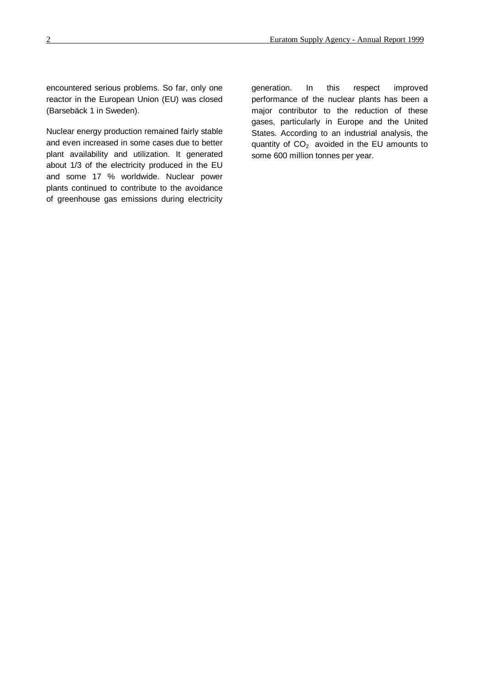encountered serious problems. So far, only one reactor in the European Union (EU) was closed (Barsebäck 1 in Sweden).

Nuclear energy production remained fairly stable and even increased in some cases due to better plant availability and utilization. It generated about 1/3 of the electricity produced in the EU and some 17 % worldwide. Nuclear power plants continued to contribute to the avoidance of greenhouse gas emissions during electricity generation. In this respect improved performance of the nuclear plants has been a major contributor to the reduction of these gases, particularly in Europe and the United States. According to an industrial analysis, the quantity of  $CO<sub>2</sub>$  avoided in the EU amounts to some 600 million tonnes per year.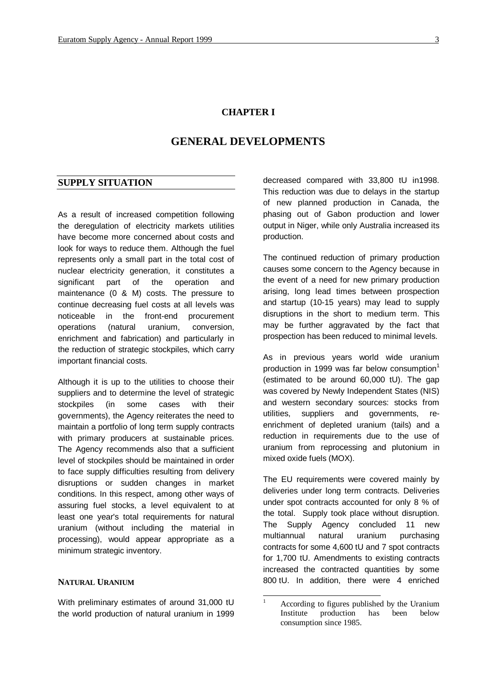# **CHAPTER I**

# **GENERAL DEVELOPMENTS**

#### **SUPPLY SITUATION**

As a result of increased competition following the deregulation of electricity markets utilities have become more concerned about costs and look for ways to reduce them. Although the fuel represents only a small part in the total cost of nuclear electricity generation, it constitutes a significant part of the operation and maintenance (0 & M) costs. The pressure to continue decreasing fuel costs at all levels was noticeable in the front-end procurement operations (natural uranium, conversion, enrichment and fabrication) and particularly in the reduction of strategic stockpiles, which carry important financial costs.

Although it is up to the utilities to choose their suppliers and to determine the level of strategic stockpiles (in some cases with their governments), the Agency reiterates the need to maintain a portfolio of long term supply contracts with primary producers at sustainable prices. The Agency recommends also that a sufficient level of stockpiles should be maintained in order to face supply difficulties resulting from delivery disruptions or sudden changes in market conditions. In this respect, among other ways of assuring fuel stocks, a level equivalent to at least one year's total requirements for natural uranium (without including the material in processing), would appear appropriate as a minimum strategic inventory.

#### **NATURAL URANIUM**

With preliminary estimates of around 31,000 tU the world production of natural uranium in 1999

decreased compared with 33,800 tU in1998. This reduction was due to delays in the startup of new planned production in Canada, the phasing out of Gabon production and lower output in Niger, while only Australia increased its production.

The continued reduction of primary production causes some concern to the Agency because in the event of a need for new primary production arising, long lead times between prospection and startup (10-15 years) may lead to supply disruptions in the short to medium term. This may be further aggravated by the fact that prospection has been reduced to minimal levels.

As in previous years world wide uranium production in 1999 was far below consumption $1$ (estimated to be around 60,000 tU). The gap was covered by Newly Independent States (NIS) and western secondary sources: stocks from utilities, suppliers and governments, reenrichment of depleted uranium (tails) and a reduction in requirements due to the use of uranium from reprocessing and plutonium in mixed oxide fuels (MOX).

The EU requirements were covered mainly by deliveries under long term contracts. Deliveries under spot contracts accounted for only 8 % of the total. Supply took place without disruption. The Supply Agency concluded 11 new multiannual natural uranium purchasing contracts for some 4,600 tU and 7 spot contracts for 1,700 tU. Amendments to existing contracts increased the contracted quantities by some 800 tU. In addition, there were 4 enriched

 $\mathbf{1}$ <sup>1</sup> According to figures published by the Uranium Institute production has been below consumption since 1985.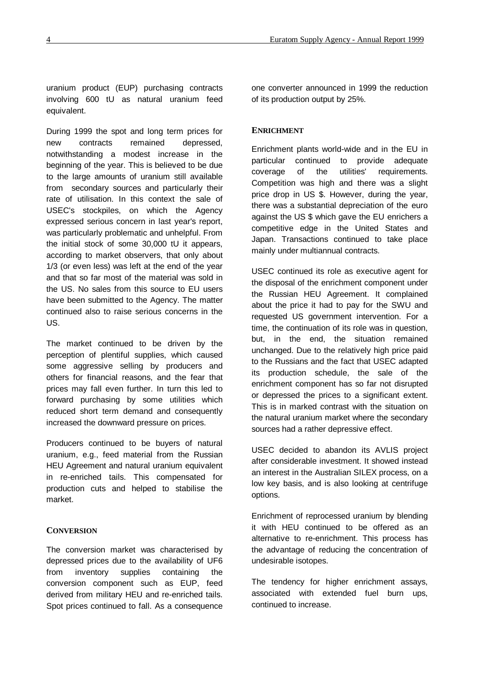uranium product (EUP) purchasing contracts involving 600 tU as natural uranium feed equivalent.

During 1999 the spot and long term prices for new contracts remained depressed, notwithstanding a modest increase in the beginning of the year. This is believed to be due to the large amounts of uranium still available from secondary sources and particularly their rate of utilisation. In this context the sale of USEC's stockpiles, on which the Agency expressed serious concern in last year's report, was particularly problematic and unhelpful. From the initial stock of some 30,000 tU it appears, according to market observers, that only about 1/3 (or even less) was left at the end of the year and that so far most of the material was sold in the US. No sales from this source to EU users have been submitted to the Agency. The matter continued also to raise serious concerns in the US.

The market continued to be driven by the perception of plentiful supplies, which caused some aggressive selling by producers and others for financial reasons, and the fear that prices may fall even further. In turn this led to forward purchasing by some utilities which reduced short term demand and consequently increased the downward pressure on prices.

Producers continued to be buyers of natural uranium, e.g., feed material from the Russian HEU Agreement and natural uranium equivalent in re-enriched tails. This compensated for production cuts and helped to stabilise the market.

#### **CONVERSION**

The conversion market was characterised by depressed prices due to the availability of UF6 from inventory supplies containing the conversion component such as EUP, feed derived from military HEU and re-enriched tails. Spot prices continued to fall. As a consequence

one converter announced in 1999 the reduction of its production output by 25%.

#### **ENRICHMENT**

Enrichment plants world-wide and in the EU in particular continued to provide adequate coverage of the utilities' requirements. Competition was high and there was a slight price drop in US \$. However, during the year, there was a substantial depreciation of the euro against the US \$ which gave the EU enrichers a competitive edge in the United States and Japan. Transactions continued to take place mainly under multiannual contracts.

USEC continued its role as executive agent for the disposal of the enrichment component under the Russian HEU Agreement. It complained about the price it had to pay for the SWU and requested US government intervention. For a time, the continuation of its role was in question, but, in the end, the situation remained unchanged. Due to the relatively high price paid to the Russians and the fact that USEC adapted its production schedule, the sale of the enrichment component has so far not disrupted or depressed the prices to a significant extent. This is in marked contrast with the situation on the natural uranium market where the secondary sources had a rather depressive effect.

USEC decided to abandon its AVLIS project after considerable investment. It showed instead an interest in the Australian SILEX process, on a low key basis, and is also looking at centrifuge options.

Enrichment of reprocessed uranium by blending it with HEU continued to be offered as an alternative to re-enrichment. This process has the advantage of reducing the concentration of undesirable isotopes.

The tendency for higher enrichment assays, associated with extended fuel burn ups, continued to increase.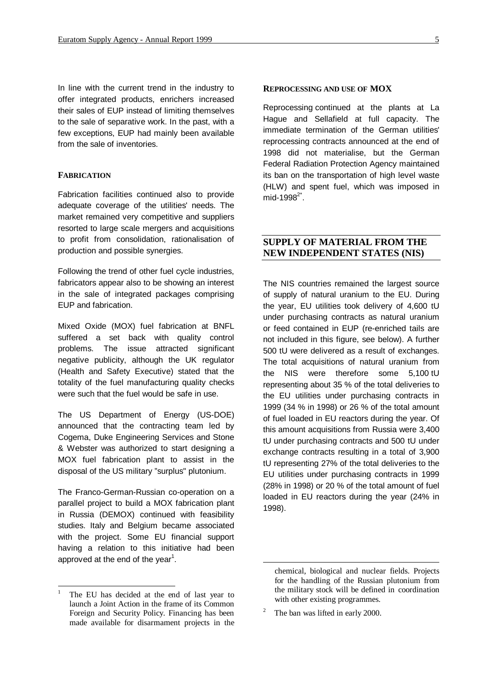In line with the current trend in the industry to offer integrated products, enrichers increased their sales of EUP instead of limiting themselves to the sale of separative work. In the past, with a few exceptions, EUP had mainly been available from the sale of inventories.

#### **FABRICATION**

Fabrication facilities continued also to provide adequate coverage of the utilities' needs. The market remained very competitive and suppliers resorted to large scale mergers and acquisitions to profit from consolidation, rationalisation of production and possible synergies.

Following the trend of other fuel cycle industries, fabricators appear also to be showing an interest in the sale of integrated packages comprising EUP and fabrication.

Mixed Oxide (MOX) fuel fabrication at BNFL suffered a set back with quality control problems. The issue attracted significant negative publicity, although the UK regulator (Health and Safety Executive) stated that the totality of the fuel manufacturing quality checks were such that the fuel would be safe in use.

The US Department of Energy (US-DOE) announced that the contracting team led by Cogema, Duke Engineering Services and Stone & Webster was authorized to start designing a MOX fuel fabrication plant to assist in the disposal of the US military "surplus" plutonium.

The Franco-German-Russian co-operation on a parallel project to build a MOX fabrication plant in Russia (DEMOX) continued with feasibility studies. Italy and Belgium became associated with the project. Some EU financial support having a relation to this initiative had been approved at the end of the year<sup>1</sup>.

l

#### **REPROCESSING AND USE OF MOX**

Reprocessing continued at the plants at La Hague and Sellafield at full capacity. The immediate termination of the German utilities' reprocessing contracts announced at the end of 1998 did not materialise, but the German Federal Radiation Protection Agency maintained its ban on the transportation of high level waste (HLW) and spent fuel, which was imposed in mid-1998 $2^*$ .

# **SUPPLY OF MATERIAL FROM THE NEW INDEPENDENT STATES (NIS)**

The NIS countries remained the largest source of supply of natural uranium to the EU. During the year, EU utilities took delivery of 4,600 tU under purchasing contracts as natural uranium or feed contained in EUP (re-enriched tails are not included in this figure, see below). A further 500 tU were delivered as a result of exchanges. The total acquisitions of natural uranium from the NIS were therefore some 5,100 tU representing about 35 % of the total deliveries to the EU utilities under purchasing contracts in 1999 (34 % in 1998) or 26 % of the total amount of fuel loaded in EU reactors during the year. Of this amount acquisitions from Russia were 3,400 tU under purchasing contracts and 500 tU under exchange contracts resulting in a total of 3,900 tU representing 27% of the total deliveries to the EU utilities under purchasing contracts in 1999 (28% in 1998) or 20 % of the total amount of fuel loaded in EU reactors during the year (24% in 1998).

-

The EU has decided at the end of last year to launch a Joint Action in the frame of its Common Foreign and Security Policy. Financing has been made available for disarmament projects in the

chemical, biological and nuclear fields. Projects for the handling of the Russian plutonium from the military stock will be defined in coordination with other existing programmes.

<sup>2</sup> The ban was lifted in early 2000.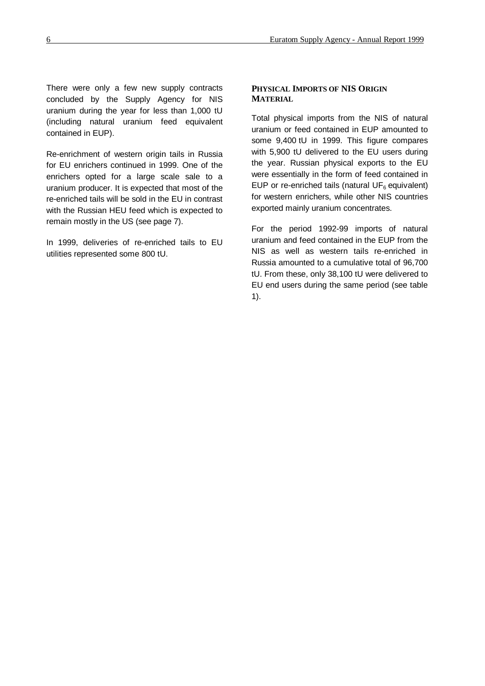There were only a few new supply contracts concluded by the Supply Agency for NIS uranium during the year for less than 1,000 tU (including natural uranium feed equivalent contained in EUP).

Re-enrichment of western origin tails in Russia for EU enrichers continued in 1999. One of the enrichers opted for a large scale sale to a uranium producer. It is expected that most of the re-enriched tails will be sold in the EU in contrast with the Russian HEU feed which is expected to remain mostly in the US (see page 7).

In 1999, deliveries of re-enriched tails to EU utilities represented some 800 tU.

#### **PHYSICAL IMPORTS OF NIS ORIGIN MATERIAL**

Total physical imports from the NIS of natural uranium or feed contained in EUP amounted to some 9,400 tU in 1999. This figure compares with 5,900 tU delivered to the EU users during the year. Russian physical exports to the EU were essentially in the form of feed contained in EUP or re-enriched tails (natural  $UF<sub>6</sub>$  equivalent) for western enrichers, while other NIS countries exported mainly uranium concentrates.

For the period 1992-99 imports of natural uranium and feed contained in the EUP from the NIS as well as western tails re-enriched in Russia amounted to a cumulative total of 96,700 tU. From these, only 38,100 tU were delivered to EU end users during the same period (see table 1).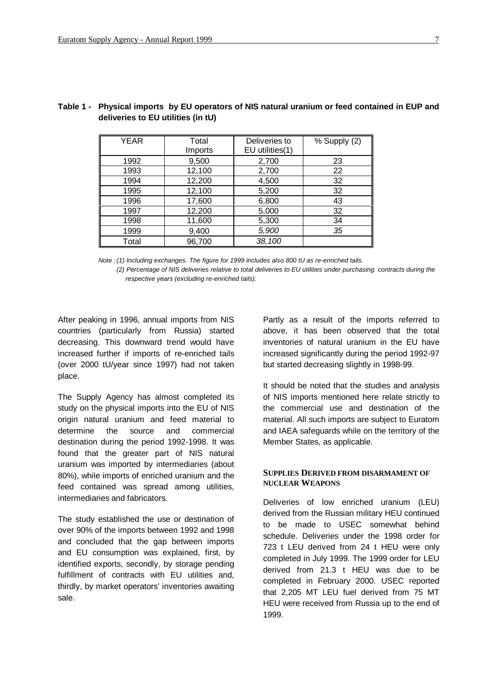| <b>YEAR</b> | Total<br>Imports | Deliveries to<br>EU utilities(1) | % Supply (2) |
|-------------|------------------|----------------------------------|--------------|
| 1992        | 9,500            | 2,700                            | 23           |
| 1993        | 12,100           | 2,700                            | 22           |
| 1994        | 12,200           | 4,500                            | 32           |
| 1995        | 12,100           | 5,200                            | 32           |
| 1996        | 17,600           | 6,800                            | 43           |
| 1997        | 12,200           | 5,000                            | 32           |
| 1998        | 11,600           | 5,300                            | 34           |
| 1999        | 9,400            | 5,900                            | 35           |
| Total       | 96,700           | 38,100                           |              |

# **Table 1 - Physical imports by EU operators of NIS natural uranium or feed contained in EUP and deliveries to EU utilities (in tU)**

*Note :(1) Including exchanges. The figure for 1999 includes also 800 tU as re-enriched tails.*

*(2) Percentage of NIS deliveries relative to total deliveries to EU utilities under purchasing contracts during the respective years (excluding re-enriched tails).*

After peaking in 1996, annual imports from NIS countries (particularly from Russia) started decreasing. This downward trend would have increased further if imports of re-enriched tails (over 2000 tU/year since 1997) had not taken place.

The Supply Agency has almost completed its study on the physical imports into the EU of NIS origin natural uranium and feed material to determine the source and commercial destination during the period 1992-1998. It was found that the greater part of NIS natural uranium was imported by intermediaries (about 80%), while imports of enriched uranium and the feed contained was spread among utilities, intermediaries and fabricators*.*

The study established the use or destination of over 90% of the imports between 1992 and 1998 and concluded that the gap between imports and EU consumption was explained, first, by identified exports, secondly, by storage pending fulfillment of contracts with EU utilities and, thirdly, by market operators' inventories awaiting sale.

Partly as a result of the imports referred to above, it has been observed that the total inventories of natural uranium in the EU have increased significantly during the period 1992-97 but started decreasing slightly in 1998-99.

It should be noted that the studies and analysis of NIS imports mentioned here relate strictly to the commercial use and destination of the material. All such imports are subject to Euratom and IAEA safeguards while on the territory of the Member States, as applicable.

#### **SUPPLIES DERIVED FROM DISARMAMENT OF NUCLEAR WEAPONS**

Deliveries of low enriched uranium (LEU) derived from the Russian military HEU continued to be made to USEC somewhat behind schedule. Deliveries under the 1998 order for 723 t LEU derived from 24 t HEU were only completed in July 1999. The 1999 order for LEU derived from 21.3 t HEU was due to be completed in February 2000. USEC reported that 2,205 MT LEU fuel derived from 75 MT HEU were received from Russia up to the end of 1999.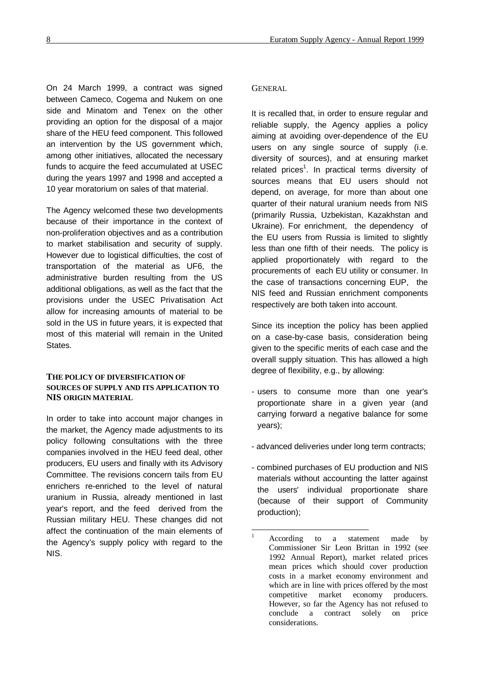On 24 March 1999, a contract was signed between Cameco, Cogema and Nukem on one side and Minatom and Tenex on the other providing an option for the disposal of a major share of the HEU feed component. This followed an intervention by the US government which, among other initiatives, allocated the necessary funds to acquire the feed accumulated at USEC during the years 1997 and 1998 and accepted a 10 year moratorium on sales of that material.

The Agency welcomed these two developments because of their importance in the context of non-proliferation objectives and as a contribution to market stabilisation and security of supply. However due to logistical difficulties, the cost of transportation of the material as UF6, the administrative burden resulting from the US additional obligations, as well as the fact that the provisions under the USEC Privatisation Act allow for increasing amounts of material to be sold in the US in future years, it is expected that most of this material will remain in the United **States** 

#### **THE POLICY OF DIVERSIFICATION OF SOURCES OF SUPPLY AND ITS APPLICATION TO NIS ORIGIN MATERIAL**

In order to take into account major changes in the market, the Agency made adjustments to its policy following consultations with the three companies involved in the HEU feed deal, other producers, EU users and finally with its Advisory Committee. The revisions concern tails from EU enrichers re-enriched to the level of natural uranium in Russia, already mentioned in last year's report, and the feed derived from the Russian military HEU. These changes did not affect the continuation of the main elements of the Agency's supply policy with regard to the NIS.

#### **GENERAL**

It is recalled that, in order to ensure regular and reliable supply, the Agency applies a policy aiming at avoiding over-dependence of the EU users on any single source of supply (i.e. diversity of sources), and at ensuring market related prices<sup>1</sup>. In practical terms diversity of sources means that EU users should not depend, on average, for more than about one quarter of their natural uranium needs from NIS (primarily Russia, Uzbekistan, Kazakhstan and Ukraine). For enrichment, the dependency of the EU users from Russia is limited to slightly less than one fifth of their needs. The policy is applied proportionately with regard to the procurements of each EU utility or consumer. In the case of transactions concerning EUP, the NIS feed and Russian enrichment components respectively are both taken into account.

Since its inception the policy has been applied on a case-by-case basis, consideration being given to the specific merits of each case and the overall supply situation. This has allowed a high degree of flexibility, e.g., by allowing:

- users to consume more than one year's proportionate share in a given year (and carrying forward a negative balance for some years);
- advanced deliveries under long term contracts;
- combined purchases of EU production and NIS materials without accounting the latter against the users' individual proportionate share (because of their support of Community production);

-

According to a statement made by Commissioner Sir Leon Brittan in 1992 (see 1992 Annual Report), market related prices mean prices which should cover production costs in a market economy environment and which are in line with prices offered by the most competitive market economy producers. However, so far the Agency has not refused to conclude a contract solely on price considerations.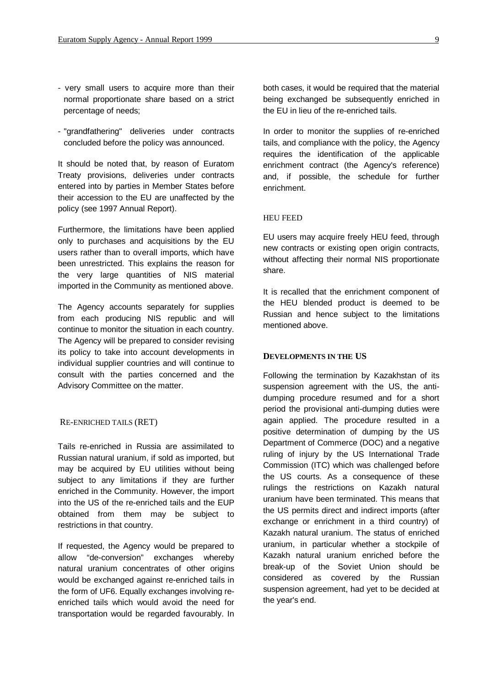- very small users to acquire more than their normal proportionate share based on a strict percentage of needs;
- "grandfathering" deliveries under contracts concluded before the policy was announced.

It should be noted that, by reason of Euratom Treaty provisions, deliveries under contracts entered into by parties in Member States before their accession to the EU are unaffected by the policy (see 1997 Annual Report).

Furthermore, the limitations have been applied only to purchases and acquisitions by the EU users rather than to overall imports, which have been unrestricted. This explains the reason for the very large quantities of NIS material imported in the Community as mentioned above.

The Agency accounts separately for supplies from each producing NIS republic and will continue to monitor the situation in each country. The Agency will be prepared to consider revising its policy to take into account developments in individual supplier countries and will continue to consult with the parties concerned and the Advisory Committee on the matter.

#### RE-ENRICHED TAILS (RET)

Tails re-enriched in Russia are assimilated to Russian natural uranium, if sold as imported, but may be acquired by EU utilities without being subject to any limitations if they are further enriched in the Community. However, the import into the US of the re-enriched tails and the EUP obtained from them may be subject to restrictions in that country.

If requested, the Agency would be prepared to allow "de-conversion" exchanges whereby natural uranium concentrates of other origins would be exchanged against re-enriched tails in the form of UF6. Equally exchanges involving reenriched tails which would avoid the need for transportation would be regarded favourably. In

both cases, it would be required that the material being exchanged be subsequently enriched in the EU in lieu of the re-enriched tails.

In order to monitor the supplies of re-enriched tails, and compliance with the policy, the Agency requires the identification of the applicable enrichment contract (the Agency's reference) and, if possible, the schedule for further enrichment.

#### HEU FEED

EU users may acquire freely HEU feed, through new contracts or existing open origin contracts, without affecting their normal NIS proportionate share.

It is recalled that the enrichment component of the HEU blended product is deemed to be Russian and hence subject to the limitations mentioned above.

#### **DEVELOPMENTS IN THE US**

Following the termination by Kazakhstan of its suspension agreement with the US, the antidumping procedure resumed and for a short period the provisional anti-dumping duties were again applied. The procedure resulted in a positive determination of dumping by the US Department of Commerce (DOC) and a negative ruling of injury by the US International Trade Commission (ITC) which was challenged before the US courts. As a consequence of these rulings the restrictions on Kazakh natural uranium have been terminated. This means that the US permits direct and indirect imports (after exchange or enrichment in a third country) of Kazakh natural uranium. The status of enriched uranium, in particular whether a stockpile of Kazakh natural uranium enriched before the break-up of the Soviet Union should be considered as covered by the Russian suspension agreement, had yet to be decided at the year's end.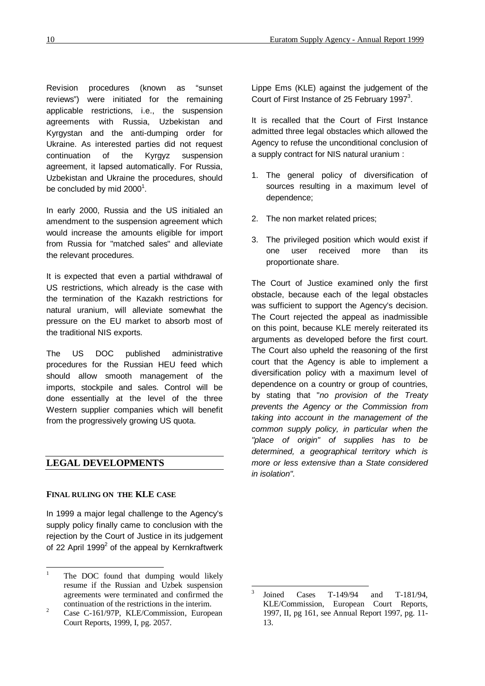Revision procedures (known as "sunset reviews") were initiated for the remaining applicable restrictions, i.e., the suspension agreements with Russia, Uzbekistan and Kyrgystan and the anti-dumping order for Ukraine. As interested parties did not request continuation of the Kyrgyz suspension agreement, it lapsed automatically. For Russia, Uzbekistan and Ukraine the procedures, should be concluded by mid 2000 $^{\rm 1}.$ 

In early 2000, Russia and the US initialed an amendment to the suspension agreement which would increase the amounts eligible for import from Russia for "matched sales" and alleviate the relevant procedures.

It is expected that even a partial withdrawal of US restrictions, which already is the case with the termination of the Kazakh restrictions for natural uranium, will alleviate somewhat the pressure on the EU market to absorb most of the traditional NIS exports.

The US DOC published administrative procedures for the Russian HEU feed which should allow smooth management of the imports, stockpile and sales. Control will be done essentially at the level of the three Western supplier companies which will benefit from the progressively growing US quota.

# **LEGAL DEVELOPMENTS**

### **FINAL RULING ON THE KLE CASE**

In 1999 a major legal challenge to the Agency's supply policy finally came to conclusion with the rejection by the Court of Justice in its judgement of 22 April 1999 $^2$  of the appeal by Kernkraftwerk

Lippe Ems (KLE) against the judgement of the Court of First Instance of 25 February 1997 $^3$ .

It is recalled that the Court of First Instance admitted three legal obstacles which allowed the Agency to refuse the unconditional conclusion of a supply contract for NIS natural uranium :

- 1. The general policy of diversification of sources resulting in a maximum level of dependence;
- 2. The non market related prices;
- 3. The privileged position which would exist if one user received more than its proportionate share.

The Court of Justice examined only the first obstacle, because each of the legal obstacles was sufficient to support the Agency's decision. The Court rejected the appeal as inadmissible on this point, because KLE merely reiterated its arguments as developed before the first court. The Court also upheld the reasoning of the first court that the Agency is able to implement a diversification policy with a maximum level of dependence on a country or group of countries, by stating that "*no provision of the Treaty prevents the Agency or the Commission from taking into account in the management of the common supply policy, in particular when the "place of origin" of supplies has to be determined, a geographical territory which is more or less extensive than a State considered in isolation".*

l

 $\mathbf{1}$ The DOC found that dumping would likely resume if the Russian and Uzbek suspension agreements were terminated and confirmed the continuation of the restrictions in the interim.

<sup>&</sup>lt;sup>2</sup> Case C-161/97P, KLE/Commission, European Court Reports, 1999, I, pg. 2057.

<sup>3</sup> Joined Cases T-149/94 and T-181/94, KLE/Commission, European Court Reports, 1997, II, pg 161, see Annual Report 1997, pg. 11- 13.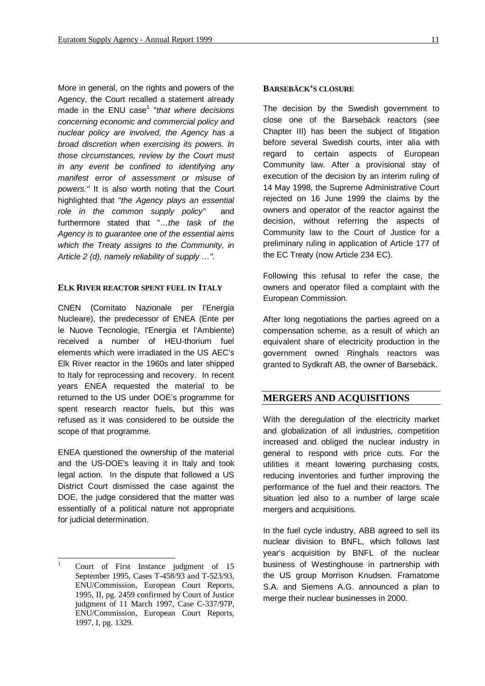More in general, on the rights and powers of the Agency, the Court recalled a statement already made in the ENU case<sup>1</sup> "*that where decisions concerning economic and commercial policy and nuclear policy are involved, the Agency has a broad discretion when exercising its powers. In those circumstances, review by the Court must in any event be confined to identifying any manifest error of assessment or misuse of powers."* It is also worth noting that the Court highlighted that "*the Agency plays an essential role in the common supply policy"* and furthermore stated that "… *the task of the Agency is to guarantee one of the essential aims which the Treaty assigns to the Community, in Article 2 (d), namely reliability of supply … ".*

#### **ELK RIVER REACTOR SPENT FUEL IN ITALY**

CNEN (Comitato Nazionale per l'Energia Nucleare), the predecessor of ENEA (Ente per le Nuove Tecnologie, l'Energia et l'Ambiente) received a number of HEU-thorium fuel elements which were irradiated in the US AEC's Elk River reactor in the 1960s and later shipped to Italy for reprocessing and recovery. In recent years ENEA requested the material to be returned to the US under DOE's programme for spent research reactor fuels, but this was refused as it was considered to be outside the scope of that programme.

ENEA questioned the ownership of the material and the US-DOE's leaving it in Italy and took legal action. In the dispute that followed a US District Court dismissed the case against the DOE, the judge considered that the matter was essentially of a political nature not appropriate for judicial determination.

#### **BARSEBÄCK'S CLOSURE**

The decision by the Swedish government to close one of the Barsebäck reactors (see Chapter III) has been the subject of litigation before several Swedish courts, inter alia with regard to certain aspects of European Community law. After a provisional stay of execution of the decision by an interim ruling of 14 May 1998, the Supreme Administrative Court rejected on 16 June 1999 the claims by the owners and operator of the reactor against the decision, without referring the aspects of Community law to the Court of Justice for a preliminary ruling in application of Article 177 of the EC Treaty (now Article 234 EC).

Following this refusal to refer the case, the owners and operator filed a complaint with the European Commission.

After long negotiations the parties agreed on a compensation scheme, as a result of which an equivalent share of electricity production in the government owned Ringhals reactors was granted to Sydkraft AB, the owner of Barsebäck.

### **MERGERS AND ACQUISITIONS**

With the deregulation of the electricity market and globalization of all industries, competition increased and obliged the nuclear industry in general to respond with price cuts. For the utilities it meant lowering purchasing costs, reducing inventories and further improving the performance of the fuel and their reactors. The situation led also to a number of large scale mergers and acquisitions.

In the fuel cycle industry, ABB agreed to sell its nuclear division to BNFL, which follows last year's acquisition by BNFL of the nuclear business of Westinghouse in partnership with the US group Morrison Knudsen. Framatome S.A. and Siemens A.G. announced a plan to merge their nuclear businesses in 2000.

 $\overline{1}$ <sup>1</sup> Court of First Instance judgment of 15 September 1995, Cases T-458/93 and T-523/93, ENU/Commission, European Court Reports, 1995, II, pg. 2459 confirmed by Court of Justice judgment of 11 March 1997, Case C-337/97P, ENU/Commission, European Court Reports, 1997, I, pg. 1329.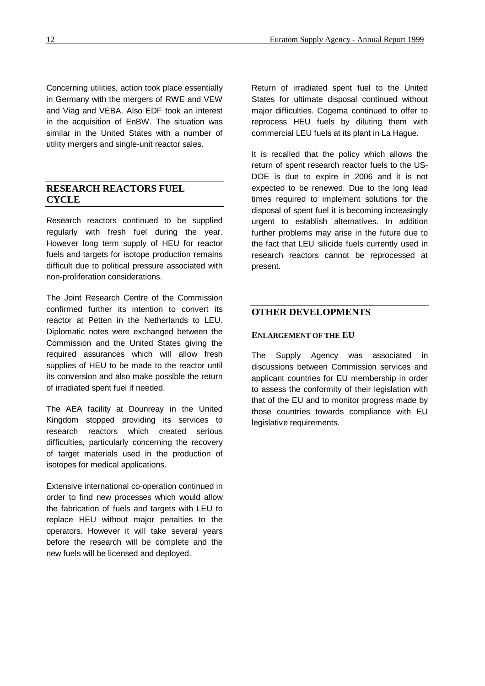Concerning utilities, action took place essentially in Germany with the mergers of RWE and VEW and Viag and VEBA. Also EDF took an interest in the acquisition of EnBW. The situation was similar in the United States with a number of utility mergers and single-unit reactor sales.

# **RESEARCH REACTORS FUEL CYCLE**

Research reactors continued to be supplied regularly with fresh fuel during the year. However long term supply of HEU for reactor fuels and targets for isotope production remains difficult due to political pressure associated with non-proliferation considerations.

The Joint Research Centre of the Commission confirmed further its intention to convert its reactor at Petten in the Netherlands to LEU. Diplomatic notes were exchanged between the Commission and the United States giving the required assurances which will allow fresh supplies of HEU to be made to the reactor until its conversion and also make possible the return of irradiated spent fuel if needed.

The AEA facility at Dounreay in the United Kingdom stopped providing its services to research reactors which created serious difficulties, particularly concerning the recovery of target materials used in the production of isotopes for medical applications.

Extensive international co-operation continued in order to find new processes which would allow the fabrication of fuels and targets with LEU to replace HEU without major penalties to the operators. However it will take several years before the research will be complete and the new fuels will be licensed and deployed.

Return of irradiated spent fuel to the United States for ultimate disposal continued without major difficulties. Cogema continued to offer to reprocess HEU fuels by diluting them with commercial LEU fuels at its plant in La Hague.

It is recalled that the policy which allows the return of spent research reactor fuels to the US-DOE is due to expire in 2006 and it is not expected to be renewed. Due to the long lead times required to implement solutions for the disposal of spent fuel it is becoming increasingly urgent to establish alternatives. In addition further problems may arise in the future due to the fact that LEU silicide fuels currently used in research reactors cannot be reprocessed at present.

# **OTHER DEVELOPMENTS**

#### **ENLARGEMENT OF THE EU**

The Supply Agency was associated in discussions between Commission services and applicant countries for EU membership in order to assess the conformity of their legislation with that of the EU and to monitor progress made by those countries towards compliance with EU legislative requirements.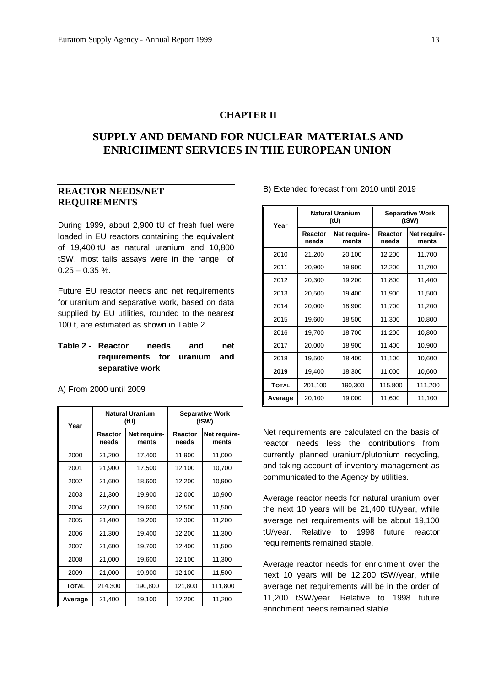# **CHAPTER II**

# **SUPPLY AND DEMAND FOR NUCLEAR MATERIALS AND ENRICHMENT SERVICES IN THE EUROPEAN UNION**

# **REACTOR NEEDS/NET REQUIREMENTS**

During 1999, about 2,900 tU of fresh fuel were loaded in EU reactors containing the equivalent of 19,400 tU as natural uranium and 10,800 tSW, most tails assays were in the range of  $0.25 - 0.35$  %.

Future EU reactor needs and net requirements for uranium and separative work, based on data supplied by EU utilities, rounded to the nearest 100 t, are estimated as shown in Table 2.

# **Table 2 - Reactor needs and net requirements for uranium and separative work**

A) From 2000 until 2009

| Year         |                    | <b>Natural Uranium</b><br>(tU) | <b>Separative Work</b><br>(tSW) |                       |  |
|--------------|--------------------|--------------------------------|---------------------------------|-----------------------|--|
|              | Reactor<br>needs   | Net require-<br>ments          | Reactor<br>needs                | Net require-<br>ments |  |
| 2000         | 21,200             | 17,400                         | 11,900                          | 11,000                |  |
| 2001         | 21,900             | 17,500                         | 12,100                          | 10,700                |  |
| 2002         | 21,600             | 18,600                         | 12,200                          | 10,900                |  |
| 2003         | 21,300             | 19,900                         | 12,000                          | 10,900                |  |
| 2004         | 22,000             | 19,600                         | 12,500                          | 11,500                |  |
| 2005         | 21,400             | 19,200                         | 12,300                          | 11,200                |  |
| 2006         | 21,300             | 19,400                         | 12,200                          | 11,300                |  |
| 2007         | 21,600             | 19,700                         | 12,400                          | 11,500                |  |
| 2008         | 21,000             | 19,600                         | 12,100                          | 11,300                |  |
| 2009         | 21,000             | 19,900                         | 12,100                          | 11,500                |  |
| <b>TOTAL</b> | 214,300<br>190,800 |                                | 121,800                         | 111,800               |  |
| Average      | 21,400             | 19,100                         | 12,200                          | 11,200                |  |

| Year    |                  | <b>Natural Uranium</b><br>(tU) | <b>Separative Work</b><br>(tSW) |                       |  |
|---------|------------------|--------------------------------|---------------------------------|-----------------------|--|
|         | Reactor<br>needs | Net require-<br>ments          | Reactor<br>needs                | Net require-<br>ments |  |
| 2010    | 21,200           | 20,100                         | 12,200                          | 11,700                |  |
| 2011    | 20,900           | 19,900                         | 12,200                          | 11,700                |  |
| 2012    | 20,300           | 19,200                         | 11,800                          | 11,400                |  |
| 2013    | 20,500           | 19,400                         | 11,900                          | 11,500                |  |
| 2014    | 20,000           | 18,900                         | 11,700                          | 11,200                |  |
| 2015    | 19,600           | 18,500                         | 11,300                          | 10,800                |  |
| 2016    | 19,700           | 18,700                         | 11,200                          | 10,800                |  |
| 2017    | 20,000           | 18,900                         | 11,400                          | 10,900                |  |
| 2018    | 19,500<br>18,400 |                                | 11,100                          | 10,600                |  |
| 2019    | 19,400<br>18,300 |                                | 11,000                          | 10,600                |  |
| TOTAL   | 201,100          | 190,300                        | 115,800                         | 111,200               |  |
| Average | 20,100           | 19,000                         | 11,600                          | 11,100                |  |

B) Extended forecast from 2010 until 2019

Net requirements are calculated on the basis of reactor needs less the contributions from currently planned uranium/plutonium recycling, and taking account of inventory management as communicated to the Agency by utilities.

Average reactor needs for natural uranium over the next 10 years will be 21,400 tU/year, while average net requirements will be about 19,100 tU/year. Relative to 1998 future reactor requirements remained stable.

Average reactor needs for enrichment over the next 10 years will be 12,200 tSW/year, while average net requirements will be in the order of 11,200 tSW/year. Relative to 1998 future enrichment needs remained stable.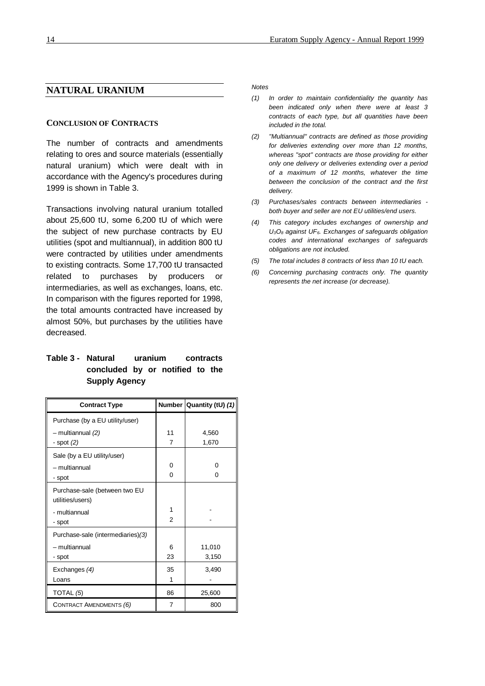# **NATURAL URANIUM**

#### **CONCLUSION OF CONTRACTS**

The number of contracts and amendments relating to ores and source materials (essentially natural uranium) which were dealt with in accordance with the Agency's procedures during 1999 is shown in Table 3.

Transactions involving natural uranium totalled about 25,600 tU, some 6,200 tU of which were the subject of new purchase contracts by EU utilities (spot and multiannual), in addition 800 tU were contracted by utilities under amendments to existing contracts. Some 17,700 tU transacted related to purchases by producers or intermediaries, as well as exchanges, loans, etc. In comparison with the figures reported for 1998, the total amounts contracted have increased by almost 50%, but purchases by the utilities have decreased.

# **Table 3 - Natural uranium contracts concluded by or notified to the Supply Agency**

| <b>Contract Type</b>                              |                | Number Quantity (tU) (1) |
|---------------------------------------------------|----------------|--------------------------|
| Purchase (by a EU utility/user)                   |                |                          |
| $-$ multiannual $(2)$                             | 11             | 4,560                    |
| - spot $(2)$                                      | $\overline{7}$ | 1,670                    |
| Sale (by a EU utility/user)                       |                |                          |
| - multiannual                                     | 0              | o                        |
| - spot                                            | 0              | U                        |
| Purchase-sale (between two EU<br>utilities/users) |                |                          |
| - multiannual                                     | 1              |                          |
| - spot                                            | 2              |                          |
| Purchase-sale (intermediaries)(3)                 |                |                          |
| - multiannual                                     | 6              | 11,010                   |
| - spot                                            | 23             | 3,150                    |
| Exchanges (4)                                     | 35             | 3,490                    |
| Loans                                             | 1              |                          |
| TOTAL (5)                                         | 86             | 25,600                   |
| <b>CONTRACT AMENDMENTS (6)</b>                    | 7              | 800                      |

#### *Notes*

- *(1) In order to maintain confidentiality the quantity has been indicated only when there were at least 3 contracts of each type, but all quantities have been included in the total.*
- *(2) "Multiannual" contracts are defined as those providing for deliveries extending over more than 12 months, whereas "spot" contracts are those providing for either only one delivery or deliveries extending over a period of a maximum of 12 months, whatever the time between the conclusion of the contract and the first delivery.*
- *(3) Purchases/sales contracts between intermediaries both buyer and seller are not EU utilities/end users.*
- *(4) This category includes exchanges of ownership and U3O8 against UF6. Exchanges of safeguards obligation codes and international exchanges of safeguards obligations are not included.*
- *(5) The total includes 8 contracts of less than 10 tU each.*
- *(6) Concerning purchasing contracts only. The quantity represents the net increase (or decrease).*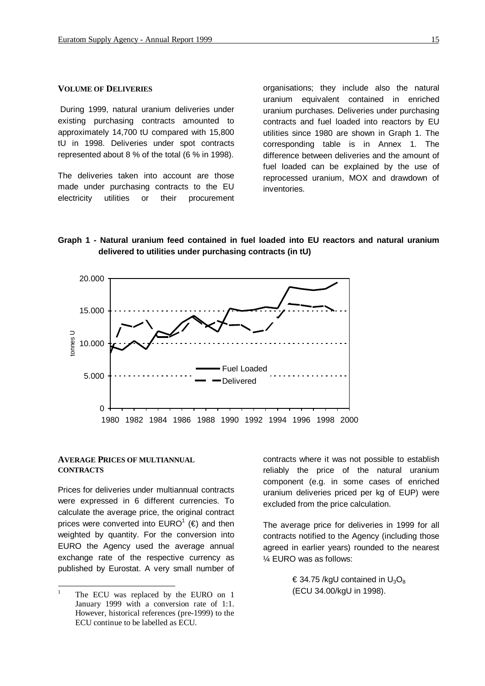#### **VOLUME OF DELIVERIES**

 During 1999, natural uranium deliveries under existing purchasing contracts amounted to approximately 14,700 tU compared with 15,800 tU in 1998. Deliveries under spot contracts represented about 8 % of the total (6 % in 1998).

The deliveries taken into account are those made under purchasing contracts to the EU electricity utilities or their procurement

organisations; they include also the natural uranium equivalent contained in enriched uranium purchases. Deliveries under purchasing contracts and fuel loaded into reactors by EU utilities since 1980 are shown in Graph 1. The corresponding table is in Annex 1. The difference between deliveries and the amount of fuel loaded can be explained by the use of reprocessed uranium, MOX and drawdown of inventories.

# **Graph 1 - Natural uranium feed contained in fuel loaded into EU reactors and natural uranium delivered to utilities under purchasing contracts (in tU)**



#### **AVERAGE PRICES OF MULTIANNUAL CONTRACTS**

Prices for deliveries under multiannual contracts were expressed in 6 different currencies. To calculate the average price, the original contract prices were converted into  $\mathsf{EURO}^1$  (€) and then weighted by quantity. For the conversion into EURO the Agency used the average annual exchange rate of the respective currency as published by Eurostat. A very small number of contracts where it was not possible to establish reliably the price of the natural uranium component (e.g. in some cases of enriched uranium deliveries priced per kg of EUP) were excluded from the price calculation.

The average price for deliveries in 1999 for all contracts notified to the Agency (including those agreed in earlier years) rounded to the nearest ¼ EURO was as follows:

> $\in$  34.75 /kgU contained in U<sub>3</sub>O<sub>8</sub> (ECU 34.00/kgU in 1998).

 $\mathbf{1}$ The ECU was replaced by the EURO on 1 January 1999 with a conversion rate of 1:1. However, historical references (pre-1999) to the ECU continue to be labelled as ECU.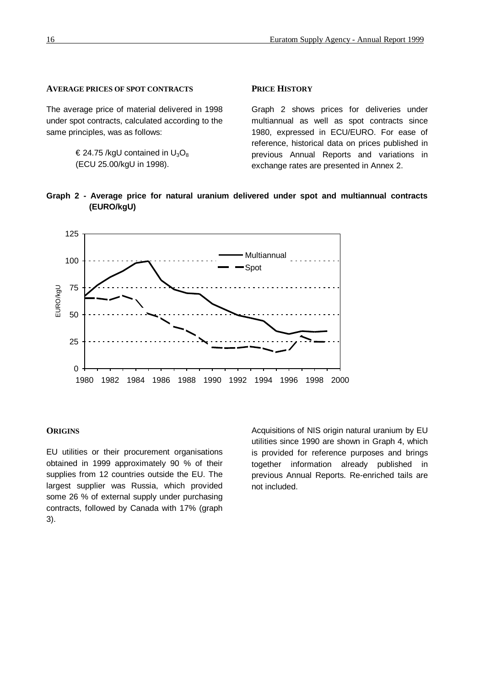### **AVERAGE PRICES OF SPOT CONTRACTS**

The average price of material delivered in 1998 under spot contracts, calculated according to the same principles, was as follows:

> $\epsilon$  24.75 /kgU contained in U<sub>3</sub>O<sub>8</sub> (ECU 25.00/kgU in 1998).

#### **PRICE HISTORY**

Graph 2 shows prices for deliveries under multiannual as well as spot contracts since 1980, expressed in ECU/EURO. For ease of reference, historical data on prices published in previous Annual Reports and variations in exchange rates are presented in Annex 2.





#### **ORIGINS**

EU utilities or their procurement organisations obtained in 1999 approximately 90 % of their supplies from 12 countries outside the EU. The largest supplier was Russia, which provided some 26 % of external supply under purchasing contracts, followed by Canada with 17% (graph 3).

Acquisitions of NIS origin natural uranium by EU utilities since 1990 are shown in Graph 4, which is provided for reference purposes and brings together information already published in previous Annual Reports. Re-enriched tails are not included.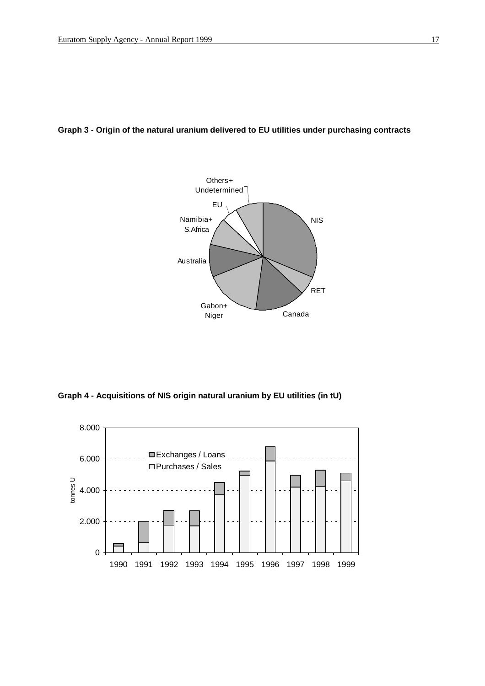# **Graph 3 - Origin of the natural uranium delivered to EU utilities under purchasing contracts**



**Graph 4 - Acquisitions of NIS origin natural uranium by EU utilities (in tU)**

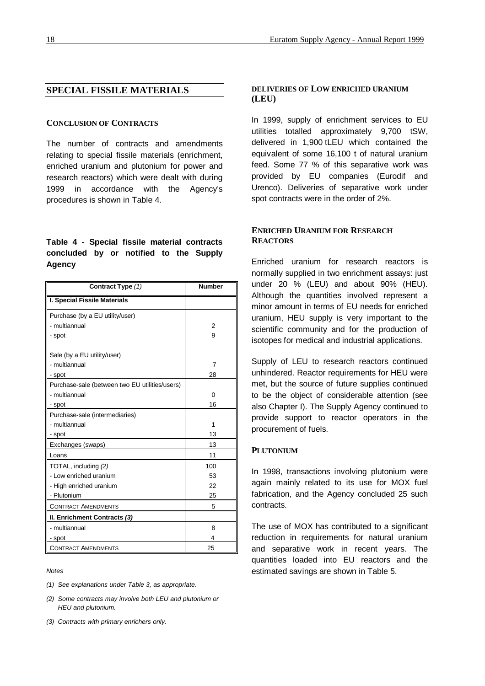# **SPECIAL FISSILE MATERIALS**

#### **CONCLUSION OF CONTRACTS**

The number of contracts and amendments relating to special fissile materials (enrichment, enriched uranium and plutonium for power and research reactors) which were dealt with during 1999 in accordance with the Agency's procedures is shown in Table 4.

# **Table 4 - Special fissile material contracts concluded by or notified to the Supply Agency**

| Contract Type (1)                              | <b>Number</b>  |
|------------------------------------------------|----------------|
| I. Special Fissile Materials                   |                |
| Purchase (by a EU utility/user)                |                |
| - multiannual                                  | 2              |
| - spot                                         | 9              |
| Sale (by a EU utility/user)                    |                |
| - multiannual                                  | $\overline{7}$ |
| - spot                                         | 28             |
| Purchase-sale (between two EU utilities/users) |                |
| - multiannual                                  | 0              |
| - spot                                         | 16             |
| Purchase-sale (intermediaries)                 |                |
| - multiannual                                  | 1              |
| - spot                                         | 13             |
| Exchanges (swaps)                              | 13             |
| Loans                                          | 11             |
| TOTAL, including (2)                           | 100            |
| - Low enriched uranium                         | 53             |
| - High enriched uranium                        | 22             |
| - Plutonium                                    | 25             |
| <b>CONTRACT AMENDMENTS</b>                     | 5              |
| II. Enrichment Contracts (3)                   |                |
| - multiannual                                  | 8              |
| - spot                                         | 4              |
| <b>CONTRACT AMENDMENTS</b>                     | 25             |

#### *Notes*

- *(1) See explanations under Table 3, as appropriate.*
- *(2) Some contracts may involve both LEU and plutonium or HEU and plutonium.*
- *(3) Contracts with primary enrichers only.*

#### **DELIVERIES OF LOW ENRICHED URANIUM (LEU)**

In 1999, supply of enrichment services to EU utilities totalled approximately 9,700 tSW, delivered in 1,900 tLEU which contained the equivalent of some 16,100 t of natural uranium feed. Some 77 % of this separative work was provided by EU companies (Eurodif and Urenco). Deliveries of separative work under spot contracts were in the order of 2%.

# **ENRICHED URANIUM FOR RESEARCH REACTORS**

Enriched uranium for research reactors is normally supplied in two enrichment assays: just under 20 % (LEU) and about 90% (HEU). Although the quantities involved represent a minor amount in terms of EU needs for enriched uranium, HEU supply is very important to the scientific community and for the production of isotopes for medical and industrial applications.

Supply of LEU to research reactors continued unhindered. Reactor requirements for HEU were met, but the source of future supplies continued to be the object of considerable attention (see also Chapter I). The Supply Agency continued to provide support to reactor operators in the procurement of fuels.

#### **PLUTONIUM**

In 1998, transactions involving plutonium were again mainly related to its use for MOX fuel fabrication, and the Agency concluded 25 such contracts.

The use of MOX has contributed to a significant reduction in requirements for natural uranium and separative work in recent years. The quantities loaded into EU reactors and the estimated savings are shown in Table 5.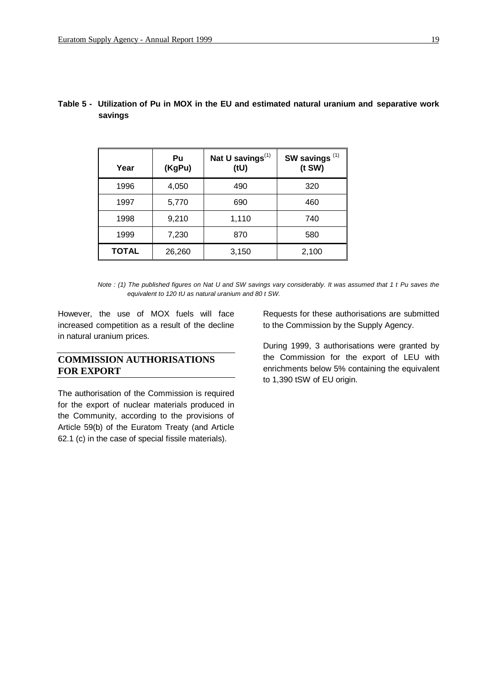| Year         | Pu<br>(KgPu) | Nat U savings <sup>(1)</sup><br>(tU) | SW savings <sup>(1)</sup><br>$(t$ SW $)$ |
|--------------|--------------|--------------------------------------|------------------------------------------|
| 1996         | 4,050        | 490                                  | 320                                      |
| 1997         | 5,770        | 690                                  | 460                                      |
| 1998         | 9,210        | 1,110                                | 740                                      |
| 1999         | 7,230        | 870                                  | 580                                      |
| <b>TOTAL</b> | 26,260       | 3,150                                | 2,100                                    |

# **Table 5 - Utilization of Pu in MOX in the EU and estimated natural uranium and separative work savings**

However, the use of MOX fuels will face increased competition as a result of the decline in natural uranium prices.

# **COMMISSION AUTHORISATIONS FOR EXPORT**

The authorisation of the Commission is required for the export of nuclear materials produced in the Community, according to the provisions of Article 59(b) of the Euratom Treaty (and Article 62.1 (c) in the case of special fissile materials).

Requests for these authorisations are submitted to the Commission by the Supply Agency.

During 1999, 3 authorisations were granted by the Commission for the export of LEU with enrichments below 5% containing the equivalent to 1,390 tSW of EU origin.

*Note : (1) The published figures on Nat U and SW savings vary considerably. It was assumed that 1 t Pu saves the equivalent to 120 tU as natural uranium and 80 t SW.*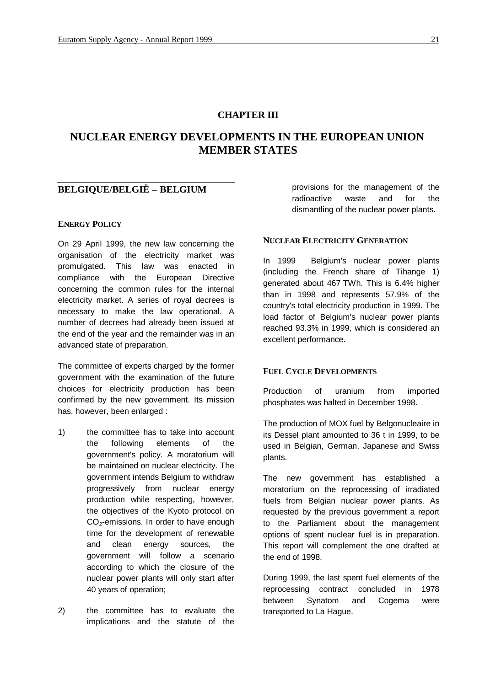# **CHAPTER III**

# **NUCLEAR ENERGY DEVELOPMENTS IN THE EUROPEAN UNION MEMBER STATES**

# **BELGIQUE/BELGIË – BELGIUM**

#### **ENERGY POLICY**

On 29 April 1999, the new law concerning the organisation of the electricity market was promulgated. This law was enacted in compliance with the European Directive concerning the common rules for the internal electricity market. A series of royal decrees is necessary to make the law operational. A number of decrees had already been issued at the end of the year and the remainder was in an advanced state of preparation.

The committee of experts charged by the former government with the examination of the future choices for electricity production has been confirmed by the new government. Its mission has, however, been enlarged :

- 1) the committee has to take into account the following elements of the government's policy. A moratorium will be maintained on nuclear electricity. The government intends Belgium to withdraw progressively from nuclear energy production while respecting, however, the objectives of the Kyoto protocol on CO<sub>2</sub>-emissions. In order to have enough time for the development of renewable and clean energy sources, the government will follow a scenario according to which the closure of the nuclear power plants will only start after 40 years of operation;
- 2) the committee has to evaluate the implications and the statute of the

provisions for the management of the radioactive waste and for the dismantling of the nuclear power plants.

#### **NUCLEAR ELECTRICITY GENERATION**

In 1999 Belgium's nuclear power plants (including the French share of Tihange 1) generated about 467 TWh. This is 6.4% higher than in 1998 and represents 57.9% of the country's total electricity production in 1999. The load factor of Belgium's nuclear power plants reached 93.3% in 1999, which is considered an excellent performance.

### **FUEL CYCLE DEVELOPMENTS**

Production of uranium from imported phosphates was halted in December 1998.

The production of MOX fuel by Belgonucleaire in its Dessel plant amounted to 36 t in 1999, to be used in Belgian, German, Japanese and Swiss plants.

The new government has established a moratorium on the reprocessing of irradiated fuels from Belgian nuclear power plants. As requested by the previous government a report to the Parliament about the management options of spent nuclear fuel is in preparation. This report will complement the one drafted at the end of 1998.

During 1999, the last spent fuel elements of the reprocessing contract concluded in 1978 between Synatom and Cogema were transported to La Hague.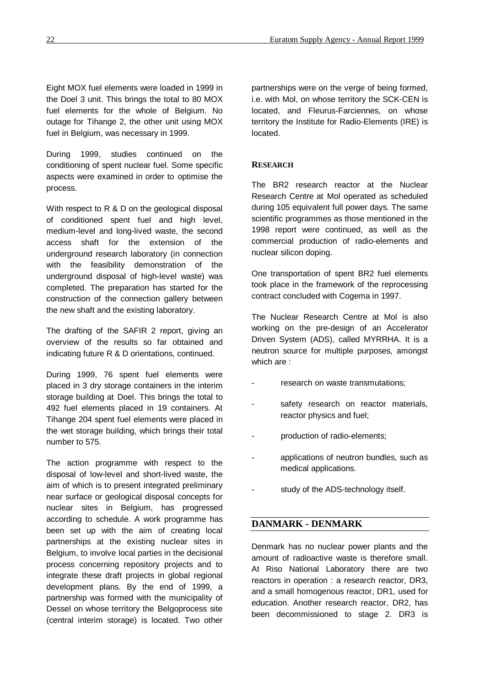Eight MOX fuel elements were loaded in 1999 in the Doel 3 unit. This brings the total to 80 MOX fuel elements for the whole of Belgium. No outage for Tihange 2, the other unit using MOX fuel in Belgium, was necessary in 1999.

During 1999, studies continued on the conditioning of spent nuclear fuel. Some specific aspects were examined in order to optimise the process.

With respect to R & D on the geological disposal of conditioned spent fuel and high level, medium-level and long-lived waste, the second access shaft for the extension of the underground research laboratory (in connection with the feasibility demonstration of the underground disposal of high-level waste) was completed. The preparation has started for the construction of the connection gallery between the new shaft and the existing laboratory.

The drafting of the SAFIR 2 report, giving an overview of the results so far obtained and indicating future R & D orientations, continued.

During 1999, 76 spent fuel elements were placed in 3 dry storage containers in the interim storage building at Doel. This brings the total to 492 fuel elements placed in 19 containers. At Tihange 204 spent fuel elements were placed in the wet storage building, which brings their total number to 575.

The action programme with respect to the disposal of low-level and short-lived waste, the aim of which is to present integrated preliminary near surface or geological disposal concepts for nuclear sites in Belgium, has progressed according to schedule. A work programme has been set up with the aim of creating local partnerships at the existing nuclear sites in Belgium, to involve local parties in the decisional process concerning repository projects and to integrate these draft projects in global regional development plans. By the end of 1999, a partnership was formed with the municipality of Dessel on whose territory the Belgoprocess site (central interim storage) is located. Two other

partnerships were on the verge of being formed, i.e. with Mol, on whose territory the SCK-CEN is located, and Fleurus-Farciennes, on whose territory the Institute for Radio-Elements (IRE) is located.

### **RESEARCH**

The BR2 research reactor at the Nuclear Research Centre at Mol operated as scheduled during 105 equivalent full power days. The same scientific programmes as those mentioned in the 1998 report were continued, as well as the commercial production of radio-elements and nuclear silicon doping.

One transportation of spent BR2 fuel elements took place in the framework of the reprocessing contract concluded with Cogema in 1997.

The Nuclear Research Centre at Mol is also working on the pre-design of an Accelerator Driven System (ADS), called MYRRHA. It is a neutron source for multiple purposes, amongst which are :

- research on waste transmutations;
- safety research on reactor materials, reactor physics and fuel;
- production of radio-elements;
- applications of neutron bundles, such as medical applications.
- study of the ADS-technology itself.

#### **DANMARK - DENMARK**

Denmark has no nuclear power plants and the amount of radioactive waste is therefore small. At Riso National Laboratory there are two reactors in operation : a research reactor, DR3, and a small homogenous reactor, DR1, used for education. Another research reactor, DR2, has been decommissioned to stage 2. DR3 is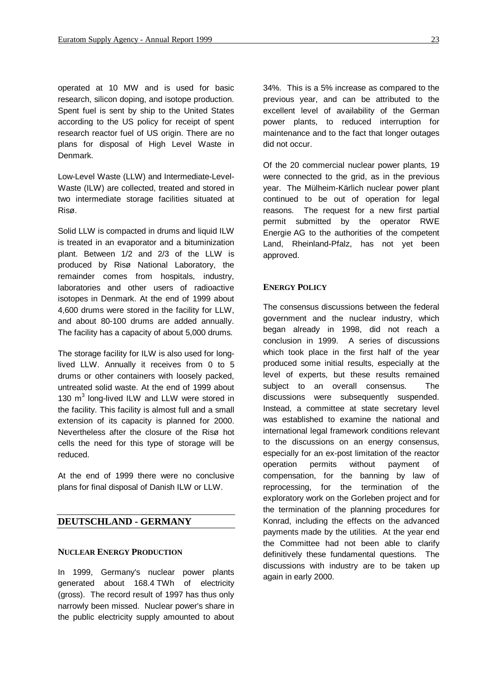operated at 10 MW and is used for basic research, silicon doping, and isotope production. Spent fuel is sent by ship to the United States according to the US policy for receipt of spent research reactor fuel of US origin. There are no plans for disposal of High Level Waste in Denmark.

Low-Level Waste (LLW) and Intermediate-Level-Waste (ILW) are collected, treated and stored in two intermediate storage facilities situated at Risø.

Solid LLW is compacted in drums and liquid ILW is treated in an evaporator and a bituminization plant. Between 1/2 and 2/3 of the LLW is produced by Risø National Laboratory, the remainder comes from hospitals, industry, laboratories and other users of radioactive isotopes in Denmark. At the end of 1999 about 4,600 drums were stored in the facility for LLW, and about 80-100 drums are added annually. The facility has a capacity of about 5,000 drums.

The storage facility for ILW is also used for longlived LLW. Annually it receives from 0 to 5 drums or other containers with loosely packed, untreated solid waste. At the end of 1999 about 130 m<sup>3</sup> long-lived ILW and LLW were stored in the facility. This facility is almost full and a small extension of its capacity is planned for 2000. Nevertheless after the closure of the Risø hot cells the need for this type of storage will be reduced.

At the end of 1999 there were no conclusive plans for final disposal of Danish ILW or LLW.

# **DEUTSCHLAND - GERMANY**

#### **NUCLEAR ENERGY PRODUCTION**

In 1999, Germany's nuclear power plants generated about 168.4 TWh of electricity (gross). The record result of 1997 has thus only narrowly been missed. Nuclear power's share in the public electricity supply amounted to about

34%. This is a 5% increase as compared to the previous year, and can be attributed to the excellent level of availability of the German power plants, to reduced interruption for maintenance and to the fact that longer outages did not occur.

Of the 20 commercial nuclear power plants, 19 were connected to the grid, as in the previous year. The Mülheim-Kärlich nuclear power plant continued to be out of operation for legal reasons. The request for a new first partial permit submitted by the operator RWE Energie AG to the authorities of the competent Land, Rheinland-Pfalz, has not yet been approved.

#### **ENERGY POLICY**

The consensus discussions between the federal government and the nuclear industry, which began already in 1998, did not reach a conclusion in 1999. A series of discussions which took place in the first half of the year produced some initial results, especially at the level of experts, but these results remained subject to an overall consensus. The discussions were subsequently suspended. Instead, a committee at state secretary level was established to examine the national and international legal framework conditions relevant to the discussions on an energy consensus, especially for an ex-post limitation of the reactor operation permits without payment of compensation, for the banning by law of reprocessing, for the termination of the exploratory work on the Gorleben project and for the termination of the planning procedures for Konrad, including the effects on the advanced payments made by the utilities. At the year end the Committee had not been able to clarify definitively these fundamental questions. The discussions with industry are to be taken up again in early 2000.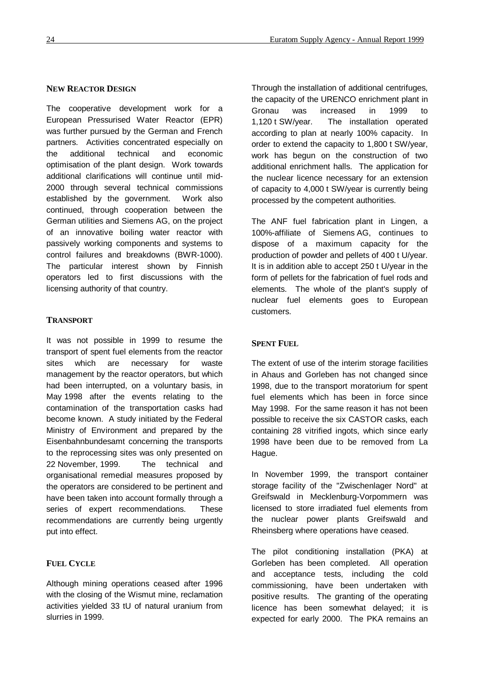#### **NEW REACTOR DESIGN**

The cooperative development work for a European Pressurised Water Reactor (EPR) was further pursued by the German and French partners. Activities concentrated especially on the additional technical and economic optimisation of the plant design. Work towards additional clarifications will continue until mid-2000 through several technical commissions established by the government. Work also continued, through cooperation between the German utilities and Siemens AG, on the project of an innovative boiling water reactor with passively working components and systems to control failures and breakdowns (BWR-1000). The particular interest shown by Finnish operators led to first discussions with the licensing authority of that country.

#### **TRANSPORT**

It was not possible in 1999 to resume the transport of spent fuel elements from the reactor sites which are necessary for waste management by the reactor operators, but which had been interrupted, on a voluntary basis, in May 1998 after the events relating to the contamination of the transportation casks had become known. A study initiated by the Federal Ministry of Environment and prepared by the Eisenbahnbundesamt concerning the transports to the reprocessing sites was only presented on 22 November, 1999. The technical and organisational remedial measures proposed by the operators are considered to be pertinent and have been taken into account formally through a series of expert recommendations. These recommendations are currently being urgently put into effect.

# **FUEL CYCLE**

Although mining operations ceased after 1996 with the closing of the Wismut mine, reclamation activities yielded 33 tU of natural uranium from slurries in 1999.

Through the installation of additional centrifuges, the capacity of the URENCO enrichment plant in Gronau was increased in 1999 to 1,120 t SW/year. The installation operated according to plan at nearly 100% capacity. In order to extend the capacity to 1,800 t SW/year, work has begun on the construction of two additional enrichment halls. The application for the nuclear licence necessary for an extension of capacity to 4,000 t SW/year is currently being processed by the competent authorities.

The ANF fuel fabrication plant in Lingen, a 100%-affiliate of Siemens AG, continues to dispose of a maximum capacity for the production of powder and pellets of 400 t U/year. It is in addition able to accept 250 t U/year in the form of pellets for the fabrication of fuel rods and elements. The whole of the plant's supply of nuclear fuel elements goes to European customers.

### **SPENT FUEL**

The extent of use of the interim storage facilities in Ahaus and Gorleben has not changed since 1998, due to the transport moratorium for spent fuel elements which has been in force since May 1998. For the same reason it has not been possible to receive the six CASTOR casks, each containing 28 vitrified ingots, which since early 1998 have been due to be removed from La Hague.

In November 1999, the transport container storage facility of the "Zwischenlager Nord" at Greifswald in Mecklenburg-Vorpommern was licensed to store irradiated fuel elements from the nuclear power plants Greifswald and Rheinsberg where operations have ceased.

The pilot conditioning installation (PKA) at Gorleben has been completed. All operation and acceptance tests, including the cold commissioning, have been undertaken with positive results. The granting of the operating licence has been somewhat delayed; it is expected for early 2000. The PKA remains an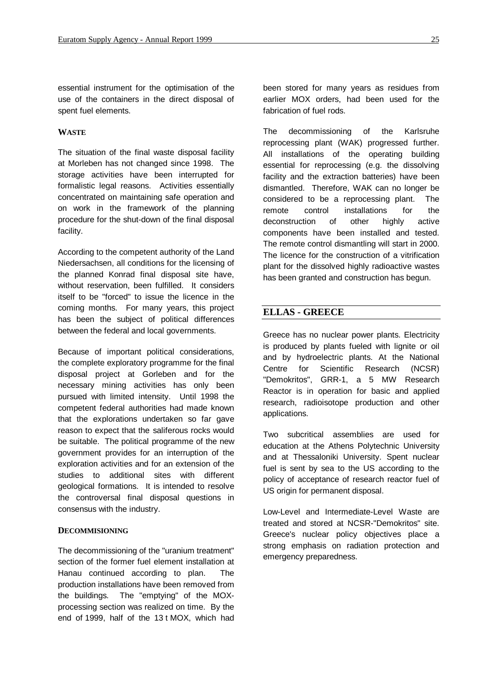essential instrument for the optimisation of the use of the containers in the direct disposal of spent fuel elements.

### **WASTE**

The situation of the final waste disposal facility at Morleben has not changed since 1998. The storage activities have been interrupted for formalistic legal reasons. Activities essentially concentrated on maintaining safe operation and on work in the framework of the planning procedure for the shut-down of the final disposal facility.

According to the competent authority of the Land Niedersachsen, all conditions for the licensing of the planned Konrad final disposal site have, without reservation, been fulfilled. It considers itself to be "forced" to issue the licence in the coming months. For many years, this project has been the subject of political differences between the federal and local governments.

Because of important political considerations, the complete exploratory programme for the final disposal project at Gorleben and for the necessary mining activities has only been pursued with limited intensity. Until 1998 the competent federal authorities had made known that the explorations undertaken so far gave reason to expect that the saliferous rocks would be suitable. The political programme of the new government provides for an interruption of the exploration activities and for an extension of the studies to additional sites with different geological formations. It is intended to resolve the controversal final disposal questions in consensus with the industry.

#### **DECOMMISIONING**

The decommissioning of the "uranium treatment" section of the former fuel element installation at Hanau continued according to plan. The production installations have been removed from the buildings. The "emptying" of the MOXprocessing section was realized on time. By the end of 1999, half of the 13 t MOX, which had

been stored for many years as residues from earlier MOX orders, had been used for the fabrication of fuel rods.

The decommissioning of the Karlsruhe reprocessing plant (WAK) progressed further. All installations of the operating building essential for reprocessing (e.g. the dissolving facility and the extraction batteries) have been dismantled. Therefore, WAK can no longer be considered to be a reprocessing plant. The remote control installations for the deconstruction of other highly active components have been installed and tested. The remote control dismantling will start in 2000. The licence for the construction of a vitrification plant for the dissolved highly radioactive wastes has been granted and construction has begun.

# **ELLAS - GREECE**

Greece has no nuclear power plants. Electricity is produced by plants fueled with lignite or oil and by hydroelectric plants. At the National Centre for Scientific Research (NCSR) "Demokritos", GRR-1, a 5 MW Research Reactor is in operation for basic and applied research, radioisotope production and other applications.

Two subcritical assemblies are used for education at the Athens Polytechnic University and at Thessaloniki University. Spent nuclear fuel is sent by sea to the US according to the policy of acceptance of research reactor fuel of US origin for permanent disposal.

Low-Level and Intermediate-Level Waste are treated and stored at NCSR-"Demokritos" site. Greece's nuclear policy objectives place a strong emphasis on radiation protection and emergency preparedness.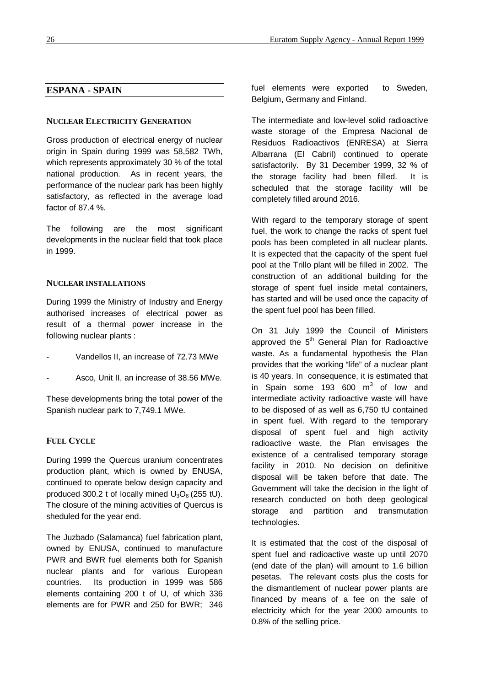# **ESPANA - SPAIN**

#### **NUCLEAR ELECTRICITY GENERATION**

Gross production of electrical energy of nuclear origin in Spain during 1999 was 58,582 TWh, which represents approximately 30 % of the total national production. As in recent years, the performance of the nuclear park has been highly satisfactory, as reflected in the average load factor of 87.4 %.

The following are the most significant developments in the nuclear field that took place in 1999.

#### **NUCLEAR INSTALLATIONS**

During 1999 the Ministry of Industry and Energy authorised increases of electrical power as result of a thermal power increase in the following nuclear plants :

- Vandellos II, an increase of 72.73 MWe
- Asco, Unit II, an increase of 38.56 MWe.

These developments bring the total power of the Spanish nuclear park to 7,749.1 MWe.

#### **FUEL CYCLE**

During 1999 the Quercus uranium concentrates production plant, which is owned by ENUSA, continued to operate below design capacity and produced 300.2 t of locally mined  $U_3O_8$  (255 tU). The closure of the mining activities of Quercus is sheduled for the year end.

The Juzbado (Salamanca) fuel fabrication plant, owned by ENUSA, continued to manufacture PWR and BWR fuel elements both for Spanish nuclear plants and for various European countries. Its production in 1999 was 586 elements containing 200 t of U, of which 336 elements are for PWR and 250 for BWR; 346 fuel elements were exported to Sweden, Belgium, Germany and Finland.

The intermediate and low-level solid radioactive waste storage of the Empresa Nacional de Residuos Radioactivos (ENRESA) at Sierra Albarrana (El Cabril) continued to operate satisfactorily. By 31 December 1999, 32 % of the storage facility had been filled. It is scheduled that the storage facility will be completely filled around 2016.

With regard to the temporary storage of spent fuel, the work to change the racks of spent fuel pools has been completed in all nuclear plants. It is expected that the capacity of the spent fuel pool at the Trillo plant will be filled in 2002. The construction of an additional building for the storage of spent fuel inside metal containers, has started and will be used once the capacity of the spent fuel pool has been filled.

On 31 July 1999 the Council of Ministers approved the  $5<sup>th</sup>$  General Plan for Radioactive waste. As a fundamental hypothesis the Plan provides that the working "life" of a nuclear plant is 40 years. In consequence, it is estimated that in Spain some 193 600  $\textsf{m}^{3}$  of low and intermediate activity radioactive waste will have to be disposed of as well as 6,750 tU contained in spent fuel. With regard to the temporary disposal of spent fuel and high activity radioactive waste, the Plan envisages the existence of a centralised temporary storage facility in 2010. No decision on definitive disposal will be taken before that date. The Government will take the decision in the light of research conducted on both deep geological storage and partition and transmutation technologies.

It is estimated that the cost of the disposal of spent fuel and radioactive waste up until 2070 (end date of the plan) will amount to 1.6 billion pesetas. The relevant costs plus the costs for the dismantlement of nuclear power plants are financed by means of a fee on the sale of electricity which for the year 2000 amounts to 0.8% of the selling price.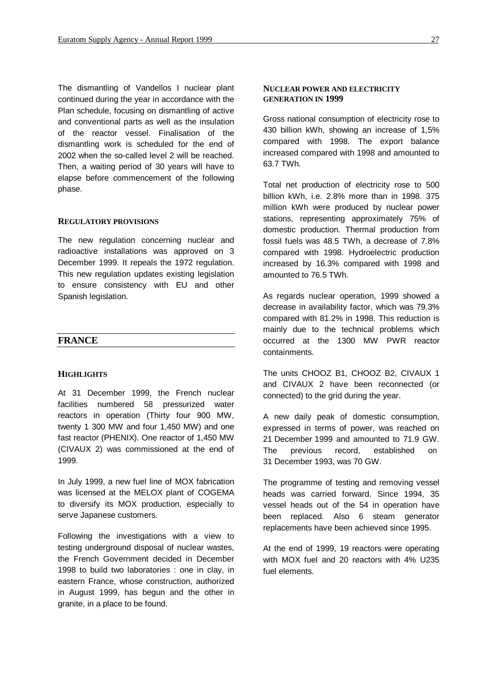The dismantling of Vandellos I nuclear plant continued during the year in accordance with the Plan schedule, focusing on dismantling of active and conventional parts as well as the insulation of the reactor vessel. Finalisation of the dismantling work is scheduled for the end of 2002 when the so-called level 2 will be reached. Then, a waiting period of 30 years will have to elapse before commencement of the following phase.

#### **REGULATORY PROVISIONS**

The new regulation concerning nuclear and radioactive installations was approved on 3 December 1999. It repeals the 1972 regulation. This new regulation updates existing legislation to ensure consistency with EU and other Spanish legislation.

#### **FRANCE**

#### **HIGHLIGHTS**

At 31 December 1999, the French nuclear facilities numbered 58 pressurized water reactors in operation (Thirty four 900 MW, twenty 1 300 MW and four 1,450 MW) and one fast reactor (PHENIX). One reactor of 1,450 MW (CIVAUX 2) was commissioned at the end of 1999.

In July 1999, a new fuel line of MOX fabrication was licensed at the MELOX plant of COGEMA to diversify its MOX production, especially to serve Japanese customers.

Following the investigations with a view to testing underground disposal of nuclear wastes, the French Government decided in December 1998 to build two laboratories : one in clay, in eastern France, whose construction, authorized in August 1999, has begun and the other in granite, in a place to be found.

#### **NUCLEAR POWER AND ELECTRICITY GENERATION IN 1999**

Gross national consumption of electricity rose to 430 billion kWh, showing an increase of 1,5% compared with 1998. The export balance increased compared with 1998 and amounted to 63.7 TWh.

Total net production of electricity rose to 500 billion kWh, i.e. 2.8% more than in 1998. 375 million kWh were produced by nuclear power stations, representing approximately 75% of domestic production. Thermal production from fossil fuels was 48.5 TWh, a decrease of 7.8% compared with 1998. Hydroelectric production increased by 16.3% compared with 1998 and amounted to 76.5 TWh.

As regards nuclear operation, 1999 showed a decrease in availability factor, which was 79.3% compared with 81.2% in 1998. This reduction is mainly due to the technical problems which occurred at the 1300 MW PWR reactor containments.

The units CHOOZ B1, CHOOZ B2, CIVAUX 1 and CIVAUX 2 have been reconnected (or connected) to the grid during the year.

A new daily peak of domestic consumption, expressed in terms of power, was reached on 21 December 1999 and amounted to 71.9 GW. The previous record, established on 31 December 1993, was 70 GW.

The programme of testing and removing vessel heads was carried forward. Since 1994, 35 vessel heads out of the 54 in operation have been replaced. Also 6 steam generator replacements have been achieved since 1995.

At the end of 1999, 19 reactors were operating with MOX fuel and 20 reactors with 4% U235 fuel elements.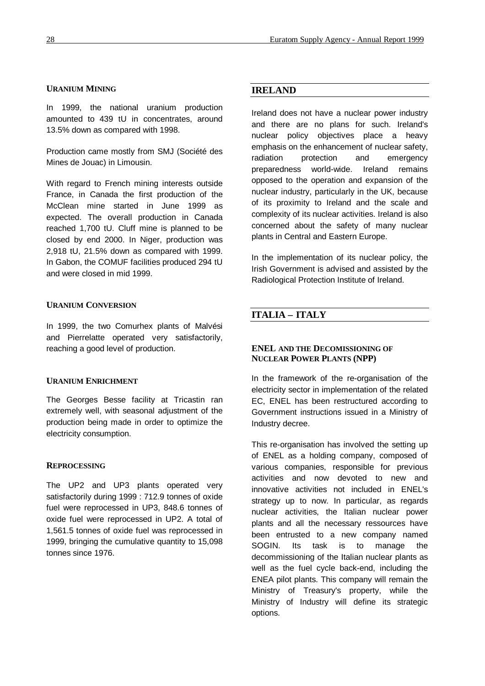### **URANIUM MINING**

In 1999, the national uranium production amounted to 439 tU in concentrates, around 13.5% down as compared with 1998.

Production came mostly from SMJ (Société des Mines de Jouac) in Limousin.

With regard to French mining interests outside France, in Canada the first production of the McClean mine started in June 1999 as expected. The overall production in Canada reached 1,700 tU. Cluff mine is planned to be closed by end 2000. In Niger, production was 2,918 tU, 21.5% down as compared with 1999. In Gabon, the COMUF facilities produced 294 tU and were closed in mid 1999.

#### **URANIUM CONVERSION**

In 1999, the two Comurhex plants of Malvési and Pierrelatte operated very satisfactorily, reaching a good level of production.

# **URANIUM ENRICHMENT**

The Georges Besse facility at Tricastin ran extremely well, with seasonal adjustment of the production being made in order to optimize the electricity consumption.

#### **REPROCESSING**

The UP2 and UP3 plants operated very satisfactorily during 1999 : 712.9 tonnes of oxide fuel were reprocessed in UP3, 848.6 tonnes of oxide fuel were reprocessed in UP2. A total of 1,561.5 tonnes of oxide fuel was reprocessed in 1999, bringing the cumulative quantity to 15,098 tonnes since 1976.

# **IRELAND**

Ireland does not have a nuclear power industry and there are no plans for such. Ireland's nuclear policy objectives place a heavy emphasis on the enhancement of nuclear safety, radiation protection and emergency preparedness world-wide. Ireland remains opposed to the operation and expansion of the nuclear industry, particularly in the UK, because of its proximity to Ireland and the scale and complexity of its nuclear activities. Ireland is also concerned about the safety of many nuclear plants in Central and Eastern Europe.

In the implementation of its nuclear policy, the Irish Government is advised and assisted by the Radiological Protection Institute of Ireland.

# **ITALIA – ITALY**

# **ENEL AND THE DECOMISSIONING OF NUCLEAR POWER PLANTS (NPP)**

In the framework of the re-organisation of the electricity sector in implementation of the related EC, ENEL has been restructured according to Government instructions issued in a Ministry of Industry decree.

This re-organisation has involved the setting up of ENEL as a holding company, composed of various companies, responsible for previous activities and now devoted to new and innovative activities not included in ENEL's strategy up to now. In particular, as regards nuclear activities, the Italian nuclear power plants and all the necessary ressources have been entrusted to a new company named SOGIN. Its task is to manage the decommissioning of the Italian nuclear plants as well as the fuel cycle back-end, including the ENEA pilot plants. This company will remain the Ministry of Treasury's property, while the Ministry of Industry will define its strategic options.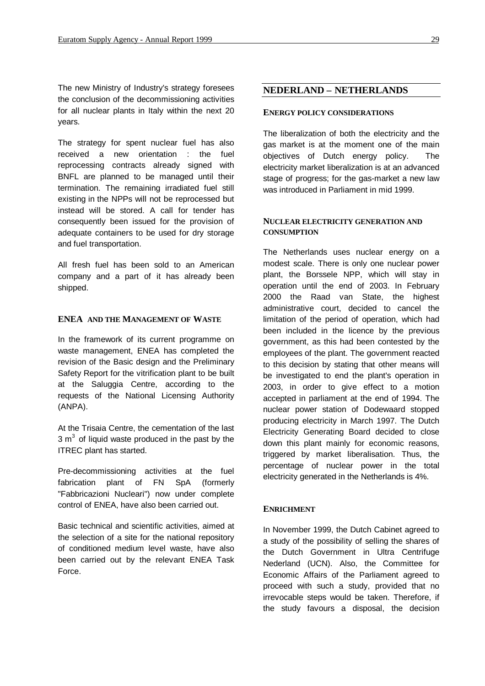The new Ministry of Industry's strategy foresees the conclusion of the decommissioning activities for all nuclear plants in Italy within the next 20 years.

The strategy for spent nuclear fuel has also received a new orientation : the fuel reprocessing contracts already signed with BNFL are planned to be managed until their termination. The remaining irradiated fuel still existing in the NPPs will not be reprocessed but instead will be stored. A call for tender has consequently been issued for the provision of adequate containers to be used for dry storage and fuel transportation.

All fresh fuel has been sold to an American company and a part of it has already been shipped.

#### **ENEA AND THE MANAGEMENT OF WASTE**

In the framework of its current programme on waste management, ENEA has completed the revision of the Basic design and the Preliminary Safety Report for the vitrification plant to be built at the Saluggia Centre, according to the requests of the National Licensing Authority (ANPA).

At the Trisaia Centre, the cementation of the last  $3 m<sup>3</sup>$  of liquid waste produced in the past by the ITREC plant has started.

Pre-decommissioning activities at the fuel fabrication plant of FN SpA (formerly "Fabbricazioni Nucleari") now under complete control of ENEA, have also been carried out.

Basic technical and scientific activities, aimed at the selection of a site for the national repository of conditioned medium level waste, have also been carried out by the relevant ENEA Task Force.

### **NEDERLAND – NETHERLANDS**

#### **ENERGY POLICY CONSIDERATIONS**

The liberalization of both the electricity and the gas market is at the moment one of the main objectives of Dutch energy policy. The electricity market liberalization is at an advanced stage of progress; for the gas-market a new law was introduced in Parliament in mid 1999.

#### **NUCLEAR ELECTRICITY GENERATION AND CONSUMPTION**

The Netherlands uses nuclear energy on a modest scale. There is only one nuclear power plant, the Borssele NPP, which will stay in operation until the end of 2003. In February 2000 the Raad van State, the highest administrative court, decided to cancel the limitation of the period of operation, which had been included in the licence by the previous government, as this had been contested by the employees of the plant. The government reacted to this decision by stating that other means will be investigated to end the plant's operation in 2003, in order to give effect to a motion accepted in parliament at the end of 1994. The nuclear power station of Dodewaard stopped producing electricity in March 1997. The Dutch Electricity Generating Board decided to close down this plant mainly for economic reasons, triggered by market liberalisation. Thus, the percentage of nuclear power in the total electricity generated in the Netherlands is 4%.

#### **ENRICHMENT**

In November 1999, the Dutch Cabinet agreed to a study of the possibility of selling the shares of the Dutch Government in Ultra Centrifuge Nederland (UCN). Also, the Committee for Economic Affairs of the Parliament agreed to proceed with such a study, provided that no irrevocable steps would be taken. Therefore, if the study favours a disposal, the decision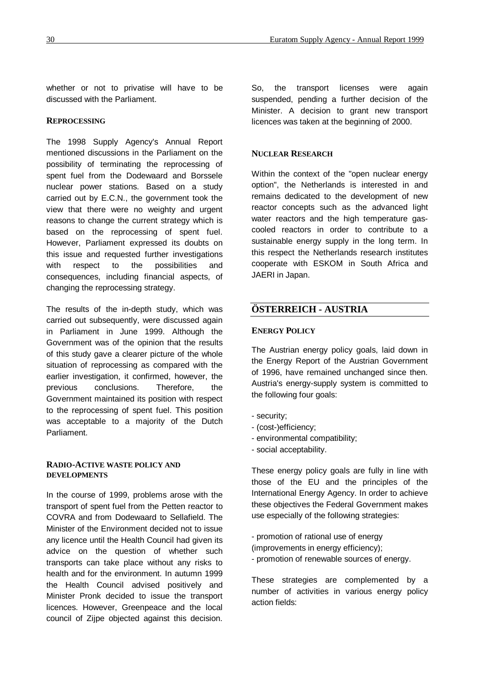whether or not to privatise will have to be discussed with the Parliament.

#### **REPROCESSING**

The 1998 Supply Agency's Annual Report mentioned discussions in the Parliament on the possibility of terminating the reprocessing of spent fuel from the Dodewaard and Borssele nuclear power stations. Based on a study carried out by E.C.N., the government took the view that there were no weighty and urgent reasons to change the current strategy which is based on the reprocessing of spent fuel. However, Parliament expressed its doubts on this issue and requested further investigations with respect to the possibilities and consequences, including financial aspects, of changing the reprocessing strategy.

The results of the in-depth study, which was carried out subsequently, were discussed again in Parliament in June 1999. Although the Government was of the opinion that the results of this study gave a clearer picture of the whole situation of reprocessing as compared with the earlier investigation, it confirmed, however, the previous conclusions. Therefore, the Government maintained its position with respect to the reprocessing of spent fuel. This position was acceptable to a majority of the Dutch Parliament.

### **RADIO-ACTIVE WASTE POLICY AND DEVELOPMENTS**

In the course of 1999, problems arose with the transport of spent fuel from the Petten reactor to COVRA and from Dodewaard to Sellafield. The Minister of the Environment decided not to issue any licence until the Health Council had given its advice on the question of whether such transports can take place without any risks to health and for the environment. In autumn 1999 the Health Council advised positively and Minister Pronk decided to issue the transport licences. However, Greenpeace and the local council of Zijpe objected against this decision.

So, the transport licenses were again suspended, pending a further decision of the Minister. A decision to grant new transport licences was taken at the beginning of 2000.

### **NUCLEAR RESEARCH**

Within the context of the "open nuclear energy option", the Netherlands is interested in and remains dedicated to the development of new reactor concepts such as the advanced light water reactors and the high temperature gascooled reactors in order to contribute to a sustainable energy supply in the long term. In this respect the Netherlands research institutes cooperate with ESKOM in South Africa and JAERI in Japan.

# **ÖSTERREICH - AUSTRIA**

#### **ENERGY POLICY**

The Austrian energy policy goals, laid down in the Energy Report of the Austrian Government of 1996, have remained unchanged since then. Austria's energy-supply system is committed to the following four goals:

- security;
- (cost-)efficiency;
- environmental compatibility;
- social acceptability.

These energy policy goals are fully in line with those of the EU and the principles of the International Energy Agency. In order to achieve these objectives the Federal Government makes use especially of the following strategies:

- promotion of rational use of energy (improvements in energy efficiency); - promotion of renewable sources of energy.

These strategies are complemented by a number of activities in various energy policy action fields: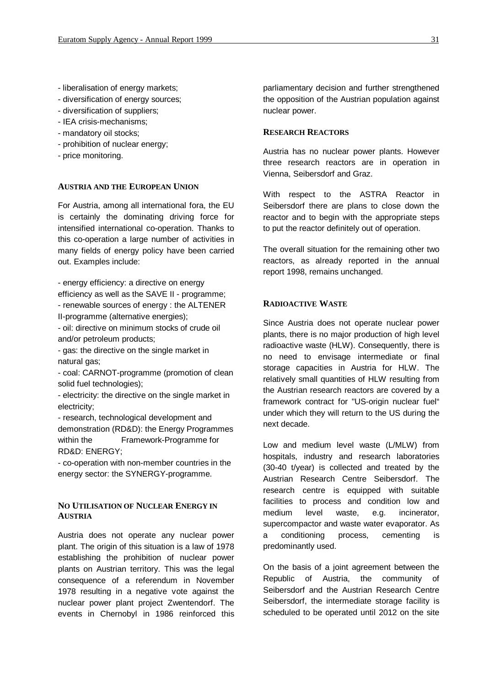- liberalisation of energy markets;
- diversification of energy sources;
- diversification of suppliers;
- IEA crisis-mechanisms;
- mandatory oil stocks;
- prohibition of nuclear energy;
- price monitoring.

#### **AUSTRIA AND THE EUROPEAN UNION**

For Austria, among all international fora, the EU is certainly the dominating driving force for intensified international co-operation. Thanks to this co-operation a large number of activities in many fields of energy policy have been carried out. Examples include:

- energy efficiency: a directive on energy efficiency as well as the SAVE II - programme;

- renewable sources of energy : the ALTENER II-programme (alternative energies);

- oil: directive on minimum stocks of crude oil and/or petroleum products;

- gas: the directive on the single market in natural gas;

- coal: CARNOT-programme (promotion of clean solid fuel technologies);

- electricity: the directive on the single market in electricity;

- research, technological development and demonstration (RD&D): the Energy Programmes within the Framework-Programme for RD&D: ENERGY;

- co-operation with non-member countries in the energy sector: the SYNERGY-programme.

# **NO UTILISATION OF NUCLEAR ENERGY IN AUSTRIA**

Austria does not operate any nuclear power plant. The origin of this situation is a law of 1978 establishing the prohibition of nuclear power plants on Austrian territory. This was the legal consequence of a referendum in November 1978 resulting in a negative vote against the nuclear power plant project Zwentendorf. The events in Chernobyl in 1986 reinforced this

parliamentary decision and further strengthened the opposition of the Austrian population against nuclear power.

#### **RESEARCH REACTORS**

Austria has no nuclear power plants. However three research reactors are in operation in Vienna, Seibersdorf and Graz.

With respect to the ASTRA Reactor in Seibersdorf there are plans to close down the reactor and to begin with the appropriate steps to put the reactor definitely out of operation.

The overall situation for the remaining other two reactors, as already reported in the annual report 1998, remains unchanged.

#### **RADIOACTIVE WASTE**

Since Austria does not operate nuclear power plants, there is no major production of high level radioactive waste (HLW). Consequently, there is no need to envisage intermediate or final storage capacities in Austria for HLW. The relatively small quantities of HLW resulting from the Austrian research reactors are covered by a framework contract for "US-origin nuclear fuel" under which they will return to the US during the next decade.

Low and medium level waste (L/MLW) from hospitals, industry and research laboratories (30-40 t/year) is collected and treated by the Austrian Research Centre Seibersdorf. The research centre is equipped with suitable facilities to process and condition low and medium level waste, e.g. incinerator, supercompactor and waste water evaporator. As a conditioning process, cementing is predominantly used.

On the basis of a joint agreement between the Republic of Austria, the community of Seibersdorf and the Austrian Research Centre Seibersdorf, the intermediate storage facility is scheduled to be operated until 2012 on the site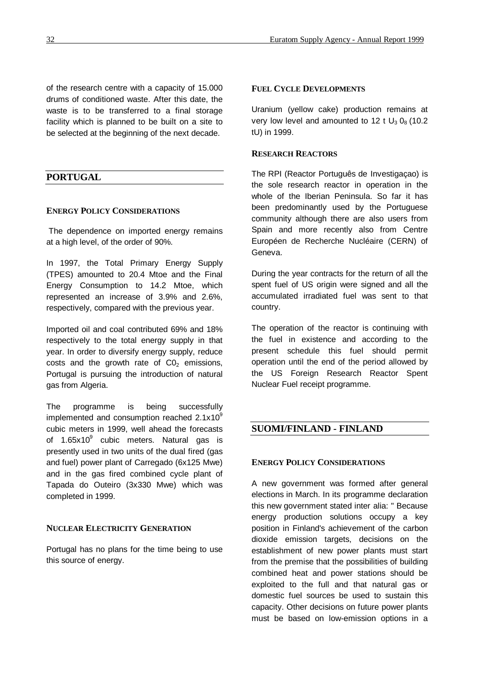of the research centre with a capacity of 15.000 drums of conditioned waste. After this date, the waste is to be transferred to a final storage facility which is planned to be built on a site to be selected at the beginning of the next decade.

# **PORTUGAL**

#### **ENERGY POLICY CONSIDERATIONS**

 The dependence on imported energy remains at a high level, of the order of 90%.

In 1997, the Total Primary Energy Supply (TPES) amounted to 20.4 Mtoe and the Final Energy Consumption to 14.2 Mtoe, which represented an increase of 3.9% and 2.6%, respectively, compared with the previous year.

Imported oil and coal contributed 69% and 18% respectively to the total energy supply in that year. In order to diversify energy supply, reduce costs and the growth rate of  $CO<sub>2</sub>$  emissions, Portugal is pursuing the introduction of natural gas from Algeria.

The programme is being successfully implemented and consumption reached  $2.1x10<sup>9</sup>$ cubic meters in 1999, well ahead the forecasts of 1.65x10 $^9$  cubic meters. Natural gas is presently used in two units of the dual fired (gas and fuel) power plant of Carregado (6x125 Mwe) and in the gas fired combined cycle plant of Tapada do Outeiro (3x330 Mwe) which was completed in 1999.

#### **NUCLEAR ELECTRICITY GENERATION**

Portugal has no plans for the time being to use this source of energy.

#### **FUEL CYCLE DEVELOPMENTS**

Uranium (yellow cake) production remains at very low level and amounted to 12 t  $U_3 O_8$  (10.2) tU) in 1999.

#### **RESEARCH REACTORS**

The RPI (Reactor Português de Investigaçao) is the sole research reactor in operation in the whole of the Iberian Peninsula. So far it has been predominantly used by the Portuguese community although there are also users from Spain and more recently also from Centre Européen de Recherche Nucléaire (CERN) of Geneva.

During the year contracts for the return of all the spent fuel of US origin were signed and all the accumulated irradiated fuel was sent to that country.

The operation of the reactor is continuing with the fuel in existence and according to the present schedule this fuel should permit operation until the end of the period allowed by the US Foreign Research Reactor Spent Nuclear Fuel receipt programme.

# **SUOMI/FINLAND - FINLAND**

#### **ENERGY POLICY CONSIDERATIONS**

A new government was formed after general elections in March. In its programme declaration this new government stated inter alia: " Because energy production solutions occupy a key position in Finland's achievement of the carbon dioxide emission targets, decisions on the establishment of new power plants must start from the premise that the possibilities of building combined heat and power stations should be exploited to the full and that natural gas or domestic fuel sources be used to sustain this capacity. Other decisions on future power plants must be based on low-emission options in a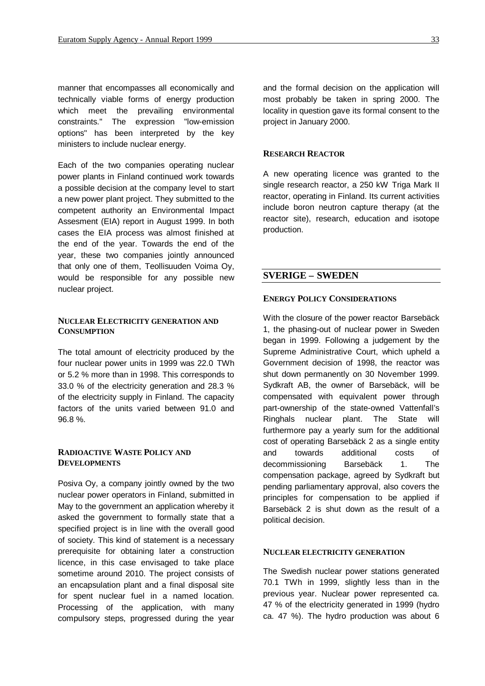manner that encompasses all economically and technically viable forms of energy production which meet the prevailing environmental constraints." The expression "low-emission options" has been interpreted by the key ministers to include nuclear energy.

Each of the two companies operating nuclear power plants in Finland continued work towards a possible decision at the company level to start a new power plant project. They submitted to the competent authority an Environmental Impact Assesment (EIA) report in August 1999. In both cases the EIA process was almost finished at the end of the year. Towards the end of the year, these two companies jointly announced that only one of them, Teollisuuden Voima Oy, would be responsible for any possible new nuclear project.

#### **NUCLEAR ELECTRICITY GENERATION AND CONSUMPTION**

The total amount of electricity produced by the four nuclear power units in 1999 was 22.0 TWh or 5.2 % more than in 1998. This corresponds to 33.0 % of the electricity generation and 28.3 % of the electricity supply in Finland. The capacity factors of the units varied between 91.0 and 96.8 %.

# **RADIOACTIVE WASTE POLICY AND DEVELOPMENTS**

Posiva Oy, a company jointly owned by the two nuclear power operators in Finland, submitted in May to the government an application whereby it asked the government to formally state that a specified project is in line with the overall good of society. This kind of statement is a necessary prerequisite for obtaining later a construction licence, in this case envisaged to take place sometime around 2010. The project consists of an encapsulation plant and a final disposal site for spent nuclear fuel in a named location. Processing of the application, with many compulsory steps, progressed during the year

and the formal decision on the application will most probably be taken in spring 2000. The locality in question gave its formal consent to the project in January 2000.

# **RESEARCH REACTOR**

A new operating licence was granted to the single research reactor, a 250 kW Triga Mark II reactor, operating in Finland. Its current activities include boron neutron capture therapy (at the reactor site), research, education and isotope production.

# **SVERIGE – SWEDEN**

#### **ENERGY POLICY CONSIDERATIONS**

With the closure of the power reactor Barsebäck 1, the phasing-out of nuclear power in Sweden began in 1999. Following a judgement by the Supreme Administrative Court, which upheld a Government decision of 1998, the reactor was shut down permanently on 30 November 1999. Sydkraft AB, the owner of Barsebäck, will be compensated with equivalent power through part-ownership of the state-owned Vattenfall's Ringhals nuclear plant. The State will furthermore pay a yearly sum for the additional cost of operating Barsebäck 2 as a single entity and towards additional costs of decommissioning Barsebäck 1. The compensation package, agreed by Sydkraft but pending parliamentary approval, also covers the principles for compensation to be applied if Barsebäck 2 is shut down as the result of a political decision.

### **NUCLEAR ELECTRICITY GENERATION**

The Swedish nuclear power stations generated 70.1 TWh in 1999, slightly less than in the previous year. Nuclear power represented ca. 47 % of the electricity generated in 1999 (hydro ca. 47 %). The hydro production was about 6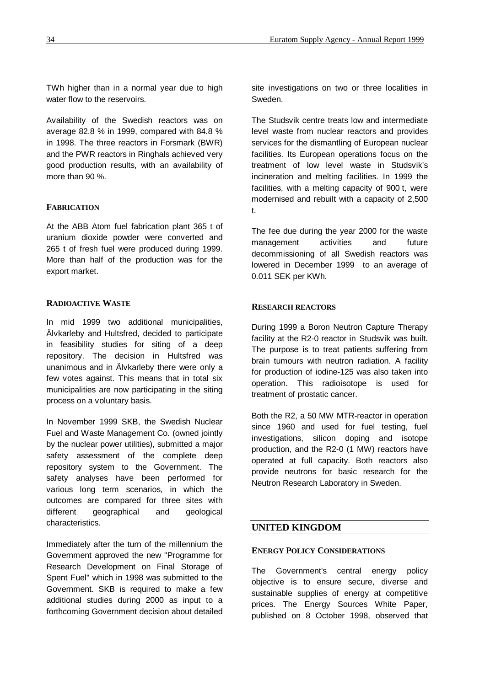TWh higher than in a normal year due to high water flow to the reservoirs.

Availability of the Swedish reactors was on average 82.8 % in 1999, compared with 84.8 % in 1998. The three reactors in Forsmark (BWR) and the PWR reactors in Ringhals achieved very good production results, with an availability of more than 90 %.

#### **FABRICATION**

At the ABB Atom fuel fabrication plant 365 t of uranium dioxide powder were converted and 265 t of fresh fuel were produced during 1999. More than half of the production was for the export market.

# **RADIOACTIVE WASTE**

In mid 1999 two additional municipalities, Älvkarleby and Hultsfred, decided to participate in feasibility studies for siting of a deep repository. The decision in Hultsfred was unanimous and in Älvkarleby there were only a few votes against. This means that in total six municipalities are now participating in the siting process on a voluntary basis.

In November 1999 SKB, the Swedish Nuclear Fuel and Waste Management Co. (owned jointly by the nuclear power utilities), submitted a major safety assessment of the complete deep repository system to the Government. The safety analyses have been performed for various long term scenarios, in which the outcomes are compared for three sites with different geographical and geological characteristics.

Immediately after the turn of the millennium the Government approved the new "Programme for Research Development on Final Storage of Spent Fuel" which in 1998 was submitted to the Government. SKB is required to make a few additional studies during 2000 as input to a forthcoming Government decision about detailed site investigations on two or three localities in Sweden.

The Studsvik centre treats low and intermediate level waste from nuclear reactors and provides services for the dismantling of European nuclear facilities. Its European operations focus on the treatment of low level waste in Studsvik's incineration and melting facilities. In 1999 the facilities, with a melting capacity of 900 t, were modernised and rebuilt with a capacity of 2,500 t.

The fee due during the year 2000 for the waste management activities and future decommissioning of all Swedish reactors was lowered in December 1999 to an average of 0.011 SEK per KWh.

# **RESEARCH REACTORS**

During 1999 a Boron Neutron Capture Therapy facility at the R2-0 reactor in Studsvik was built. The purpose is to treat patients suffering from brain tumours with neutron radiation. A facility for production of iodine-125 was also taken into operation. This radioisotope is used for treatment of prostatic cancer.

Both the R2, a 50 MW MTR-reactor in operation since 1960 and used for fuel testing, fuel investigations, silicon doping and isotope production, and the R2-0 (1 MW) reactors have operated at full capacity. Both reactors also provide neutrons for basic research for the Neutron Research Laboratory in Sweden.

## **UNITED KINGDOM**

#### **ENERGY POLICY CONSIDERATIONS**

The Government's central energy policy objective is to ensure secure, diverse and sustainable supplies of energy at competitive prices. The Energy Sources White Paper, published on 8 October 1998, observed that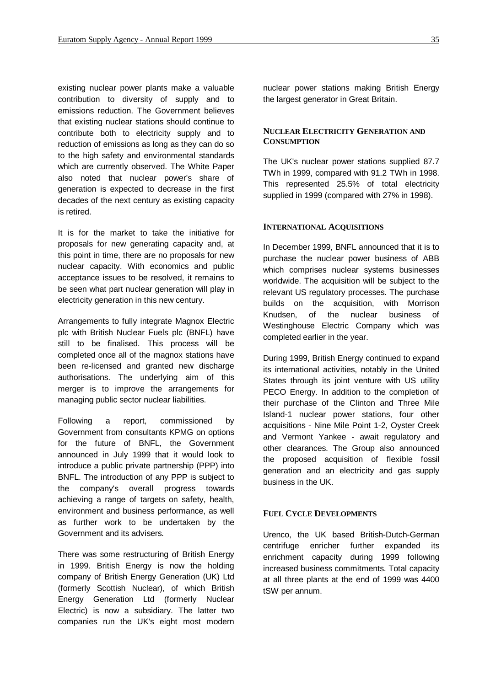existing nuclear power plants make a valuable contribution to diversity of supply and to emissions reduction. The Government believes that existing nuclear stations should continue to contribute both to electricity supply and to reduction of emissions as long as they can do so to the high safety and environmental standards which are currently observed. The White Paper also noted that nuclear power's share of generation is expected to decrease in the first decades of the next century as existing capacity is retired.

It is for the market to take the initiative for proposals for new generating capacity and, at this point in time, there are no proposals for new nuclear capacity. With economics and public acceptance issues to be resolved, it remains to be seen what part nuclear generation will play in electricity generation in this new century.

Arrangements to fully integrate Magnox Electric plc with British Nuclear Fuels plc (BNFL) have still to be finalised. This process will be completed once all of the magnox stations have been re-licensed and granted new discharge authorisations. The underlying aim of this merger is to improve the arrangements for managing public sector nuclear liabilities.

Following a report, commissioned by Government from consultants KPMG on options for the future of BNFL, the Government announced in July 1999 that it would look to introduce a public private partnership (PPP) into BNFL. The introduction of any PPP is subject to the company's overall progress towards achieving a range of targets on safety, health, environment and business performance, as well as further work to be undertaken by the Government and its advisers.

There was some restructuring of British Energy in 1999. British Energy is now the holding company of British Energy Generation (UK) Ltd (formerly Scottish Nuclear), of which British Energy Generation Ltd (formerly Nuclear Electric) is now a subsidiary. The latter two companies run the UK's eight most modern

nuclear power stations making British Energy the largest generator in Great Britain.

# **NUCLEAR ELECTRICITY GENERATION AND CONSUMPTION**

The UK's nuclear power stations supplied 87.7 TWh in 1999, compared with 91.2 TWh in 1998. This represented 25.5% of total electricity supplied in 1999 (compared with 27% in 1998).

#### **INTERNATIONAL ACQUISITIONS**

In December 1999, BNFL announced that it is to purchase the nuclear power business of ABB which comprises nuclear systems businesses worldwide. The acquisition will be subject to the relevant US regulatory processes. The purchase builds on the acquisition, with Morrison Knudsen, of the nuclear business of Westinghouse Electric Company which was completed earlier in the year.

During 1999, British Energy continued to expand its international activities, notably in the United States through its joint venture with US utility PECO Energy. In addition to the completion of their purchase of the Clinton and Three Mile Island-1 nuclear power stations, four other acquisitions - Nine Mile Point 1-2, Oyster Creek and Vermont Yankee - await regulatory and other clearances. The Group also announced the proposed acquisition of flexible fossil generation and an electricity and gas supply business in the UK.

### **FUEL CYCLE DEVELOPMENTS**

Urenco, the UK based British-Dutch-German centrifuge enricher further expanded its enrichment capacity during 1999 following increased business commitments. Total capacity at all three plants at the end of 1999 was 4400 tSW per annum.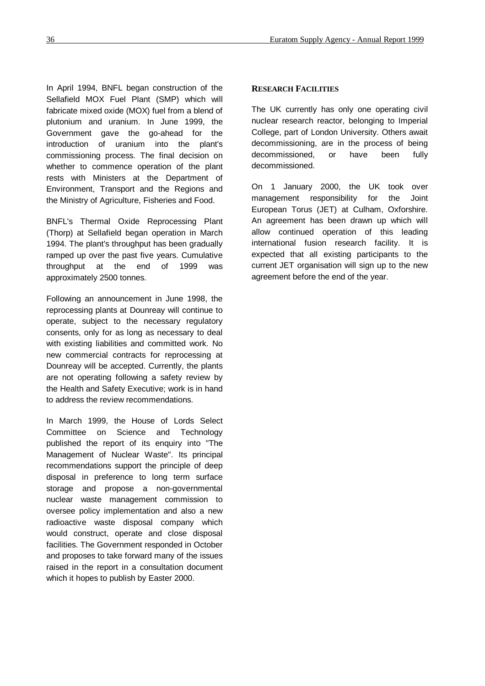In April 1994, BNFL began construction of the Sellafield MOX Fuel Plant (SMP) which will fabricate mixed oxide (MOX) fuel from a blend of plutonium and uranium. In June 1999, the Government gave the go-ahead for the introduction of uranium into the plant's commissioning process. The final decision on whether to commence operation of the plant rests with Ministers at the Department of Environment, Transport and the Regions and the Ministry of Agriculture, Fisheries and Food.

BNFL's Thermal Oxide Reprocessing Plant (Thorp) at Sellafield began operation in March 1994. The plant's throughput has been gradually ramped up over the past five years. Cumulative throughput at the end of 1999 was approximately 2500 tonnes.

Following an announcement in June 1998, the reprocessing plants at Dounreay will continue to operate, subject to the necessary regulatory consents, only for as long as necessary to deal with existing liabilities and committed work. No new commercial contracts for reprocessing at Dounreay will be accepted. Currently, the plants are not operating following a safety review by the Health and Safety Executive; work is in hand to address the review recommendations.

In March 1999, the House of Lords Select Committee on Science and Technology published the report of its enquiry into "The Management of Nuclear Waste". Its principal recommendations support the principle of deep disposal in preference to long term surface storage and propose a non-governmental nuclear waste management commission to oversee policy implementation and also a new radioactive waste disposal company which would construct, operate and close disposal facilities. The Government responded in October and proposes to take forward many of the issues raised in the report in a consultation document which it hopes to publish by Easter 2000.

#### **RESEARCH FACILITIES**

The UK currently has only one operating civil nuclear research reactor, belonging to Imperial College, part of London University. Others await decommissioning, are in the process of being decommissioned, or have been fully decommissioned.

On 1 January 2000, the UK took over management responsibility for the Joint European Torus (JET) at Culham, Oxforshire. An agreement has been drawn up which will allow continued operation of this leading international fusion research facility. It is expected that all existing participants to the current JET organisation will sign up to the new agreement before the end of the year.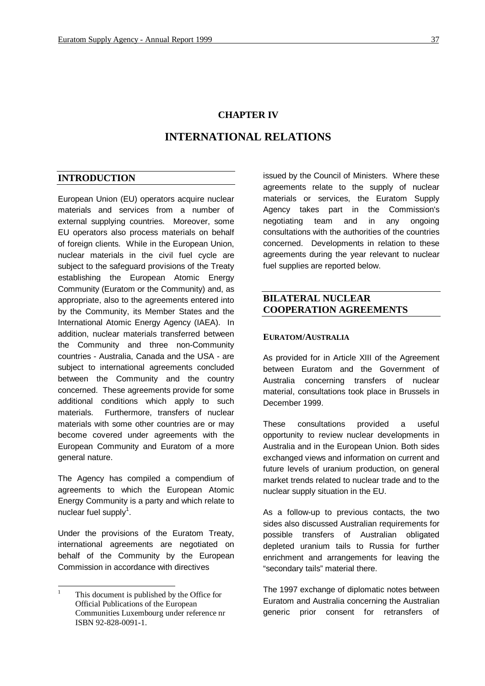# **CHAPTER IV**

# **INTERNATIONAL RELATIONS**

#### **INTRODUCTION**

European Union (EU) operators acquire nuclear materials and services from a number of external supplying countries. Moreover, some EU operators also process materials on behalf of foreign clients. While in the European Union, nuclear materials in the civil fuel cycle are subject to the safeguard provisions of the Treaty establishing the European Atomic Energy Community (Euratom or the Community) and, as appropriate, also to the agreements entered into by the Community, its Member States and the International Atomic Energy Agency (IAEA). In addition, nuclear materials transferred between the Community and three non-Community countries - Australia, Canada and the USA - are subject to international agreements concluded between the Community and the country concerned. These agreements provide for some additional conditions which apply to such materials. Furthermore, transfers of nuclear materials with some other countries are or may become covered under agreements with the European Community and Euratom of a more general nature.

The Agency has compiled a compendium of agreements to which the European Atomic Energy Community is a party and which relate to nuclear fuel supply<sup>1</sup>.

Under the provisions of the Euratom Treaty, international agreements are negotiated on behalf of the Community by the European Commission in accordance with directives

issued by the Council of Ministers. Where these agreements relate to the supply of nuclear materials or services, the Euratom Supply Agency takes part in the Commission's negotiating team and in any ongoing consultations with the authorities of the countries concerned. Developments in relation to these agreements during the year relevant to nuclear fuel supplies are reported below.

# **BILATERAL NUCLEAR COOPERATION AGREEMENTS**

#### **EURATOM/AUSTRALIA**

As provided for in Article XIII of the Agreement between Euratom and the Government of Australia concerning transfers of nuclear material, consultations took place in Brussels in December 1999.

These consultations provided a useful opportunity to review nuclear developments in Australia and in the European Union. Both sides exchanged views and information on current and future levels of uranium production, on general market trends related to nuclear trade and to the nuclear supply situation in the EU.

As a follow-up to previous contacts, the two sides also discussed Australian requirements for possible transfers of Australian obligated depleted uranium tails to Russia for further enrichment and arrangements for leaving the "secondary tails" material there.

The 1997 exchange of diplomatic notes between Euratom and Australia concerning the Australian generic prior consent for retransfers of

 $\mathbf{1}$ <sup>1</sup> This document is published by the Office for Official Publications of the European Communities Luxembourg under reference nr ISBN 92-828-0091-1.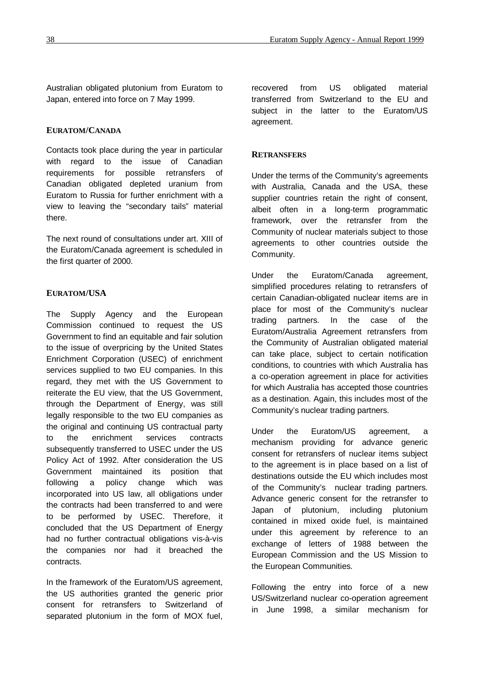Australian obligated plutonium from Euratom to Japan, entered into force on 7 May 1999.

#### **EURATOM/CANADA**

Contacts took place during the year in particular with regard to the issue of Canadian requirements for possible retransfers of Canadian obligated depleted uranium from Euratom to Russia for further enrichment with a view to leaving the "secondary tails" material there.

The next round of consultations under art. XIII of the Euratom/Canada agreement is scheduled in the first quarter of 2000.

# **EURATOM/USA**

The Supply Agency and the European Commission continued to request the US Government to find an equitable and fair solution to the issue of overpricing by the United States Enrichment Corporation (USEC) of enrichment services supplied to two EU companies. In this regard, they met with the US Government to reiterate the EU view, that the US Government, through the Department of Energy, was still legally responsible to the two EU companies as the original and continuing US contractual party to the enrichment services contracts subsequently transferred to USEC under the US Policy Act of 1992. After consideration the US Government maintained its position that following a policy change which was incorporated into US law, all obligations under the contracts had been transferred to and were to be performed by USEC. Therefore, it concluded that the US Department of Energy had no further contractual obligations vis-à-vis the companies nor had it breached the contracts.

In the framework of the Euratom/US agreement, the US authorities granted the generic prior consent for retransfers to Switzerland of separated plutonium in the form of MOX fuel, recovered from US obligated material transferred from Switzerland to the EU and subject in the latter to the Euratom/US agreement.

#### **RETRANSFERS**

Under the terms of the Community's agreements with Australia, Canada and the USA, these supplier countries retain the right of consent, albeit often in a long-term programmatic framework, over the retransfer from the Community of nuclear materials subject to those agreements to other countries outside the Community.

Under the Euratom/Canada agreement, simplified procedures relating to retransfers of certain Canadian-obligated nuclear items are in place for most of the Community's nuclear trading partners. In the case of the Euratom/Australia Agreement retransfers from the Community of Australian obligated material can take place, subject to certain notification conditions, to countries with which Australia has a co-operation agreement in place for activities for which Australia has accepted those countries as a destination. Again, this includes most of the Community's nuclear trading partners.

Under the Euratom/US agreement, a mechanism providing for advance generic consent for retransfers of nuclear items subject to the agreement is in place based on a list of destinations outside the EU which includes most of the Community's nuclear trading partners. Advance generic consent for the retransfer to Japan of plutonium, including plutonium contained in mixed oxide fuel, is maintained under this agreement by reference to an exchange of letters of 1988 between the European Commission and the US Mission to the European Communities.

Following the entry into force of a new US/Switzerland nuclear co-operation agreement in June 1998, a similar mechanism for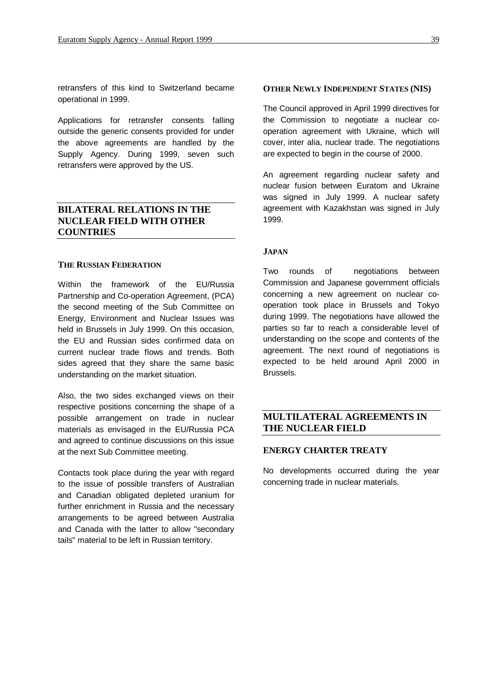retransfers of this kind to Switzerland became operational in 1999.

Applications for retransfer consents falling outside the generic consents provided for under the above agreements are handled by the Supply Agency. During 1999, seven such retransfers were approved by the US.

# **BILATERAL RELATIONS IN THE NUCLEAR FIELD WITH OTHER COUNTRIES**

#### **THE RUSSIAN FEDERATION**

Within the framework of the EU/Russia Partnership and Co-operation Agreement, (PCA) the second meeting of the Sub Committee on Energy, Environment and Nuclear Issues was held in Brussels in July 1999. On this occasion, the EU and Russian sides confirmed data on current nuclear trade flows and trends. Both sides agreed that they share the same basic understanding on the market situation.

Also, the two sides exchanged views on their respective positions concerning the shape of a possible arrangement on trade in nuclear materials as envisaged in the EU/Russia PCA and agreed to continue discussions on this issue at the next Sub Committee meeting.

Contacts took place during the year with regard to the issue of possible transfers of Australian and Canadian obligated depleted uranium for further enrichment in Russia and the necessary arrangements to be agreed between Australia and Canada with the latter to allow "secondary tails" material to be left in Russian territory.

#### **OTHER NEWLY INDEPENDENT STATES (NIS)**

The Council approved in April 1999 directives for the Commission to negotiate a nuclear cooperation agreement with Ukraine, which will cover, inter alia, nuclear trade. The negotiations are expected to begin in the course of 2000.

An agreement regarding nuclear safety and nuclear fusion between Euratom and Ukraine was signed in July 1999. A nuclear safety agreement with Kazakhstan was signed in July 1999.

#### **JAPAN**

Two rounds of negotiations between Commission and Japanese government officials concerning a new agreement on nuclear cooperation took place in Brussels and Tokyo during 1999. The negotiations have allowed the parties so far to reach a considerable level of understanding on the scope and contents of the agreement. The next round of negotiations is expected to be held around April 2000 in Brussels.

# **MULTILATERAL AGREEMENTS IN THE NUCLEAR FIELD**

#### **ENERGY CHARTER TREATY**

No developments occurred during the year concerning trade in nuclear materials.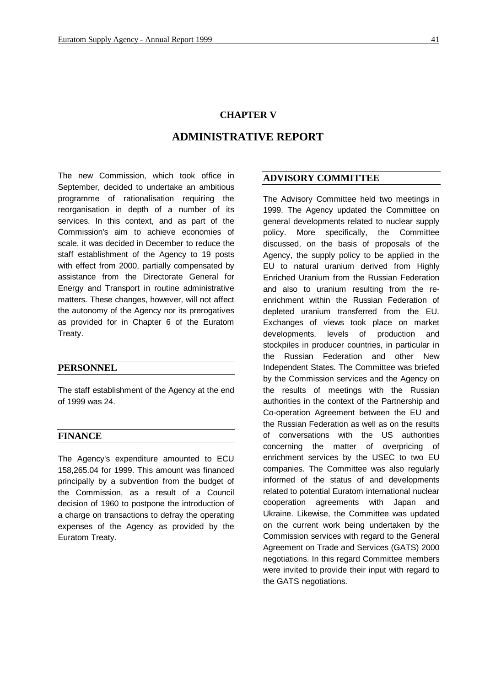# **CHAPTER V**

# **ADMINISTRATIVE REPORT**

The new Commission, which took office in September, decided to undertake an ambitious programme of rationalisation requiring the reorganisation in depth of a number of its services. In this context, and as part of the Commission's aim to achieve economies of scale, it was decided in December to reduce the staff establishment of the Agency to 19 posts with effect from 2000, partially compensated by assistance from the Directorate General for Energy and Transport in routine administrative matters. These changes, however, will not affect the autonomy of the Agency nor its prerogatives as provided for in Chapter 6 of the Euratom Treaty.

#### **PERSONNEL**

The staff establishment of the Agency at the end of 1999 was 24.

#### **FINANCE**

The Agency's expenditure amounted to ECU 158,265.04 for 1999. This amount was financed principally by a subvention from the budget of the Commission, as a result of a Council decision of 1960 to postpone the introduction of a charge on transactions to defray the operating expenses of the Agency as provided by the Euratom Treaty.

#### **ADVISORY COMMITTEE**

The Advisory Committee held two meetings in 1999. The Agency updated the Committee on general developments related to nuclear supply policy. More specifically, the Committee discussed, on the basis of proposals of the Agency, the supply policy to be applied in the EU to natural uranium derived from Highly Enriched Uranium from the Russian Federation and also to uranium resulting from the reenrichment within the Russian Federation of depleted uranium transferred from the EU. Exchanges of views took place on market developments, levels of production and stockpiles in producer countries, in particular in the Russian Federation and other New Independent States. The Committee was briefed by the Commission services and the Agency on the results of meetings with the Russian authorities in the context of the Partnership and Co-operation Agreement between the EU and the Russian Federation as well as on the results of conversations with the US authorities concerning the matter of overpricing of enrichment services by the USEC to two EU companies. The Committee was also regularly informed of the status of and developments related to potential Euratom international nuclear cooperation agreements with Japan and Ukraine. Likewise, the Committee was updated on the current work being undertaken by the Commission services with regard to the General Agreement on Trade and Services (GATS) 2000 negotiations. In this regard Committee members were invited to provide their input with regard to the GATS negotiations.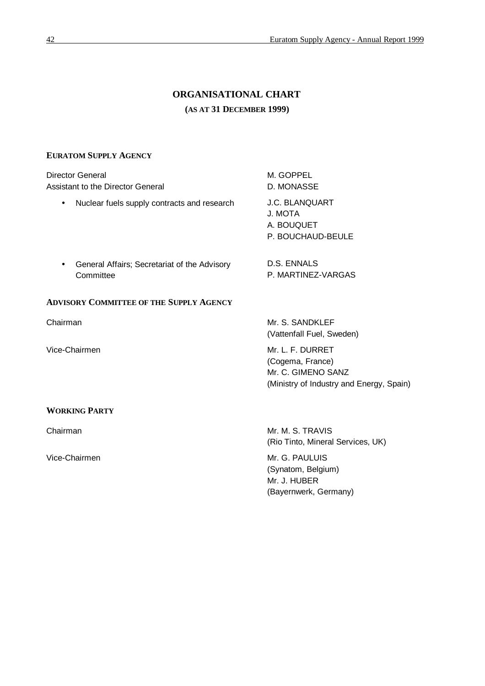# **ORGANISATIONAL CHART (AS AT 31 DECEMBER 1999)**

# **EURATOM SUPPLY AGENCY**

|               | <b>Director General</b><br>Assistant to the Director General | M. GOPPEL<br>D. MONASSE                                                                                |  |  |
|---------------|--------------------------------------------------------------|--------------------------------------------------------------------------------------------------------|--|--|
| $\bullet$     | Nuclear fuels supply contracts and research                  | J.C. BLANQUART<br>J. MOTA<br>A. BOUQUET<br>P. BOUCHAUD-BEULE                                           |  |  |
|               | General Affairs; Secretariat of the Advisory<br>Committee    | D.S. ENNALS<br>P. MARTINEZ-VARGAS                                                                      |  |  |
|               | <b>ADVISORY COMMITTEE OF THE SUPPLY AGENCY</b>               |                                                                                                        |  |  |
| Chairman      |                                                              | Mr. S. SANDKLEF<br>(Vattenfall Fuel, Sweden)                                                           |  |  |
| Vice-Chairmen |                                                              | Mr. L. F. DURRET<br>(Cogema, France)<br>Mr. C. GIMENO SANZ<br>(Ministry of Industry and Energy, Spain) |  |  |
|               | <b>WORKING PARTY</b>                                         |                                                                                                        |  |  |
| Chairman      |                                                              | Mr. M. S. TRAVIS<br>(Rio Tinto, Mineral Services, UK)                                                  |  |  |
| Vice-Chairmen |                                                              | Mr. G. PAULUIS<br>(Synatom, Belgium)<br>Mr. J. HUBER                                                   |  |  |

(Bayernwerk, Germany)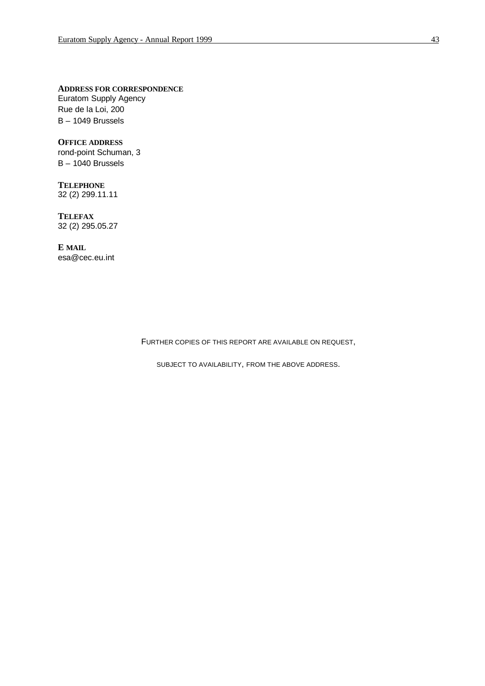**ADDRESS FOR CORRESPONDENCE**

Euratom Supply Agency Rue de la Loi, 200 B – 1049 Brussels

**OFFICE ADDRESS** rond-point Schuman, 3 B – 1040 Brussels

**TELEPHONE** 32 (2) 299.11.11

**TELEFAX** 32 (2) 295.05.27

**E MAIL** esa@cec.eu.int

FURTHER COPIES OF THIS REPORT ARE AVAILABLE ON REQUEST,

SUBJECT TO AVAILABILITY, FROM THE ABOVE ADDRESS.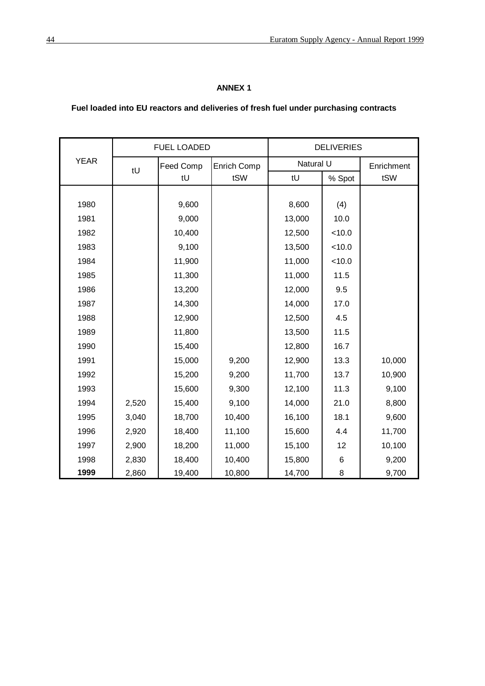# **ANNEX 1**

# **Fuel loaded into EU reactors and deliveries of fresh fuel under purchasing contracts**

|             | <b>FUEL LOADED</b> |           |             | <b>DELIVERIES</b> |        |            |
|-------------|--------------------|-----------|-------------|-------------------|--------|------------|
| <b>YEAR</b> | tU                 | Feed Comp | Enrich Comp | Natural U         |        | Enrichment |
|             |                    | tU<br>tSW |             | tU                | % Spot | tSW        |
|             |                    |           |             |                   |        |            |
| 1980        |                    | 9,600     |             | 8,600             | (4)    |            |
| 1981        |                    | 9,000     |             | 13,000            | 10.0   |            |
| 1982        |                    | 10,400    |             | 12,500            | < 10.0 |            |
| 1983        |                    | 9,100     |             | 13,500            | < 10.0 |            |
| 1984        |                    | 11,900    |             | 11,000            | < 10.0 |            |
| 1985        |                    | 11,300    |             | 11,000            | 11.5   |            |
| 1986        |                    | 13,200    |             | 12,000            | 9.5    |            |
| 1987        |                    | 14,300    |             | 14,000            | 17.0   |            |
| 1988        |                    | 12,900    |             | 12,500            | 4.5    |            |
| 1989        |                    | 11,800    |             | 13,500            | 11.5   |            |
| 1990        |                    | 15,400    |             | 12,800            | 16.7   |            |
| 1991        |                    | 15,000    | 9,200       | 12,900            | 13.3   | 10,000     |
| 1992        |                    | 15,200    | 9,200       | 11,700            | 13.7   | 10,900     |
| 1993        |                    | 15,600    | 9,300       | 12,100            | 11.3   | 9,100      |
| 1994        | 2,520              | 15,400    | 9,100       | 14,000            | 21.0   | 8,800      |
| 1995        | 3,040              | 18,700    | 10,400      | 16,100            | 18.1   | 9,600      |
| 1996        | 2,920              | 18,400    | 11,100      | 15,600            | 4.4    | 11,700     |
| 1997        | 2,900              | 18,200    | 11,000      | 15,100            | 12     | 10,100     |
| 1998        | 2,830              | 18,400    | 10,400      | 15,800            | 6      | 9,200      |
| 1999        | 2,860              | 19,400    | 10,800      | 14,700            | 8      | 9,700      |